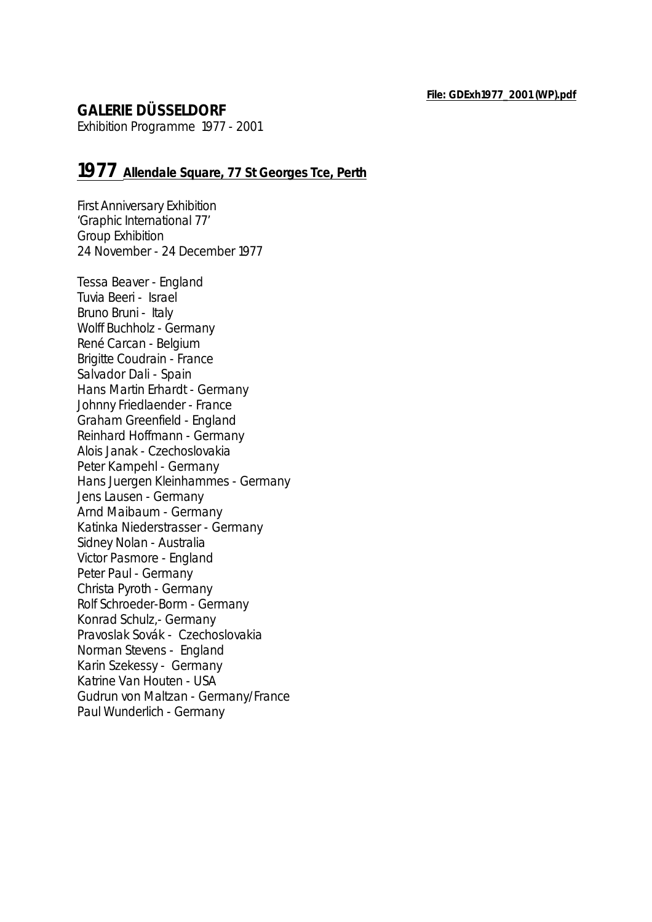## **GALERIE DÜSSELDORF**

Exhibition Programme 1977 - 2001

## **1977 Allendale Square, 77 St Georges Tce, Perth**

First Anniversary Exhibition 'Graphic International 77' Group Exhibition 24 November - 24 December 1977

Tessa Beaver - England Tuvia Beeri - Israel Bruno Bruni - Italy Wolff Buchholz - Germany René Carcan - Belgium Brigitte Coudrain - France Salvador Dali - Spain Hans Martin Erhardt - Germany Johnny Friedlaender - France Graham Greenfield - England Reinhard Hoffmann - Germany Alois Janak - Czechoslovakia Peter Kampehl - Germany Hans Juergen Kleinhammes - Germany Jens Lausen - Germany Arnd Maibaum - Germany Katinka Niederstrasser - Germany Sidney Nolan - Australia Victor Pasmore - England Peter Paul - Germany Christa Pyroth - Germany Rolf Schroeder-Borm - Germany Konrad Schulz,- Germany Pravoslak Sovák - Czechoslovakia Norman Stevens - England Karin Szekessy - Germany Katrine Van Houten - USA Gudrun von Maltzan - Germany/France Paul Wunderlich - Germany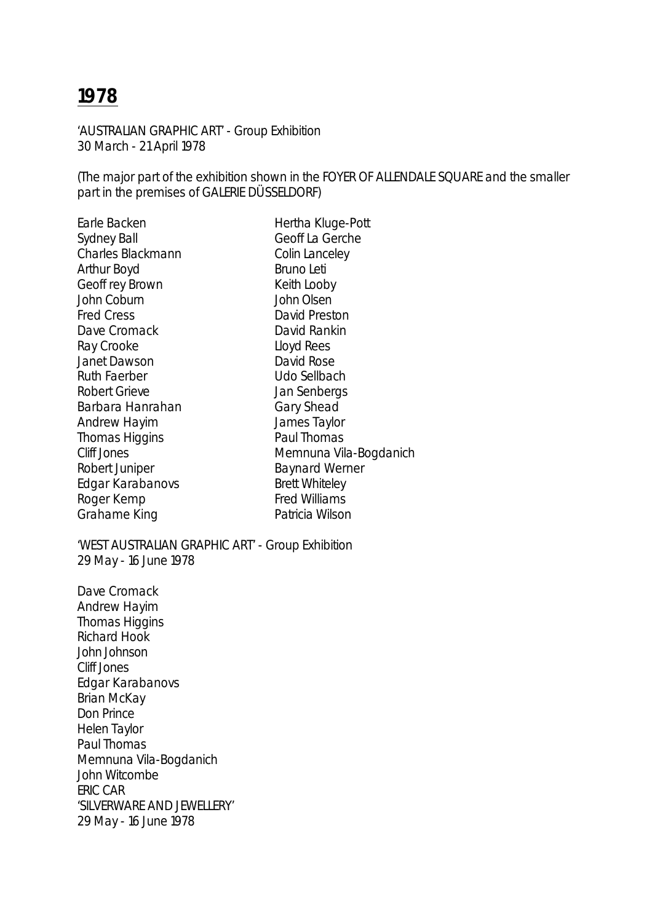'AUSTRALIAN GRAPHIC ART' - Group Exhibition 30 March - 21 April 1978

(The major part of the exhibition shown in the FOYER OF ALLENDALE SQUARE and the smaller part in the premises of GALERIE DÜSSELDORF)

| Earle Backen                                              | Hertha Kluge-Pott      |
|-----------------------------------------------------------|------------------------|
| <b>Sydney Ball</b>                                        | Geoff La Gerche        |
| <b>Charles Blackmann</b>                                  | Colin Lanceley         |
| Arthur Boyd                                               | <b>Bruno Leti</b>      |
| Geoff rey Brown                                           | Keith Looby            |
| John Coburn                                               | John Olsen             |
| <b>Fred Cress</b>                                         | David Preston          |
| Dave Cromack                                              | David Rankin           |
| Ray Crooke                                                | Lloyd Rees             |
| <b>Janet Dawson</b>                                       | David Rose             |
| <b>Ruth Faerber</b>                                       | Udo Sellbach           |
| <b>Robert Grieve</b>                                      | Jan Senbergs           |
| Barbara Hanrahan                                          | <b>Gary Shead</b>      |
| <b>Andrew Hayim</b>                                       | James Taylor           |
| <b>Thomas Higgins</b>                                     | Paul Thomas            |
| <b>Cliff Jones</b>                                        | Memnuna Vila-Bogdanich |
| Robert Juniper                                            | <b>Baynard Werner</b>  |
| Edgar Karabanovs                                          | <b>Brett Whiteley</b>  |
| Roger Kemp                                                | <b>Fred Williams</b>   |
| Grahame King                                              | Patricia Wilson        |
| $\text{MRTCT}$ ALICTDALIAN CDADLIIC ADT: Croup Exhibition |                        |

'WEST AUSTRALIAN GRAPHIC ART' - Group Exhibition 29 May - 16 June 1978

Dave Cromack Andrew Hayim Thomas Higgins Richard Hook John Johnson Cliff Jones Edgar Karabanovs Brian McKay Don Prince Helen Taylor Paul Thomas Memnuna Vila-Bogdanich John Witcombe ERIC CAR 'SILVERWARE AND JEWELLERY' 29 May - 16 June 1978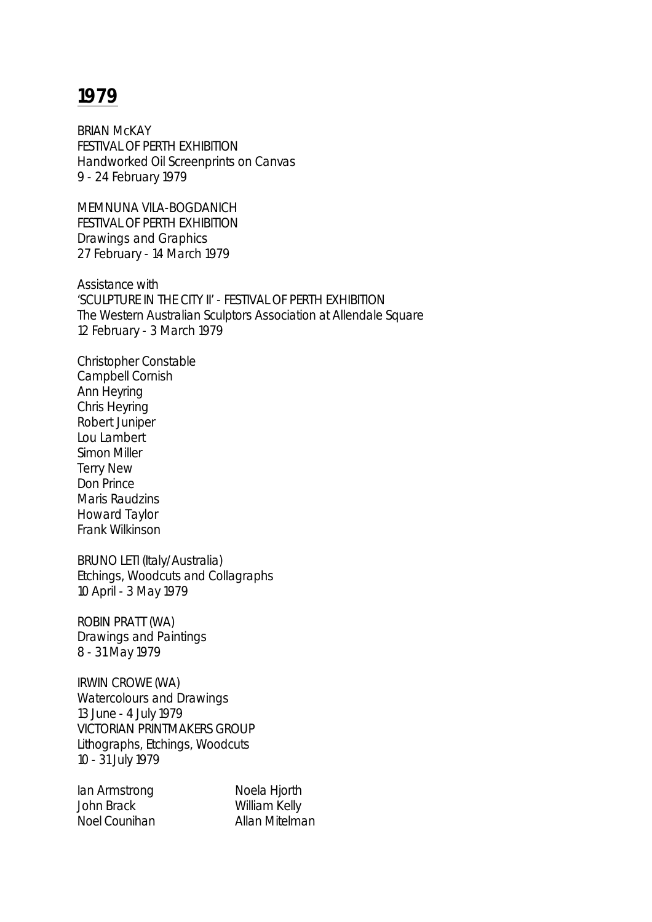BRIAN McKAY FESTIVAL OF PERTH EXHIBITION Handworked Oil Screenprints on Canvas 9 - 24 February 1979

MEMNUNA VILA-BOGDANICH FESTIVAL OF PERTH EXHIBITION Drawings and Graphics 27 February - 14 March 1979

Assistance with 'SCULPTURE IN THE CITY II' - FESTIVAL OF PERTH EXHIBITION The Western Australian Sculptors Association at Allendale Square 12 February - 3 March 1979

Christopher Constable Campbell Cornish Ann Heyring Chris Heyring Robert Juniper Lou Lambert Simon Miller Terry New Don Prince Maris Raudzins Howard Taylor Frank Wilkinson

BRUNO LETI (Italy/Australia) Etchings, Woodcuts and Collagraphs 10 April - 3 May 1979

ROBIN PRATT (WA) Drawings and Paintings 8 - 31 May 1979

IRWIN CROWE (WA) Watercolours and Drawings 13 June - 4 July 1979 VICTORIAN PRINTMAKERS GROUP Lithographs, Etchings, Woodcuts 10 - 31 July 1979

Ian Armstrong Noela Hjorth John Brack William Kelly Noel Counihan **Allan Mitelman**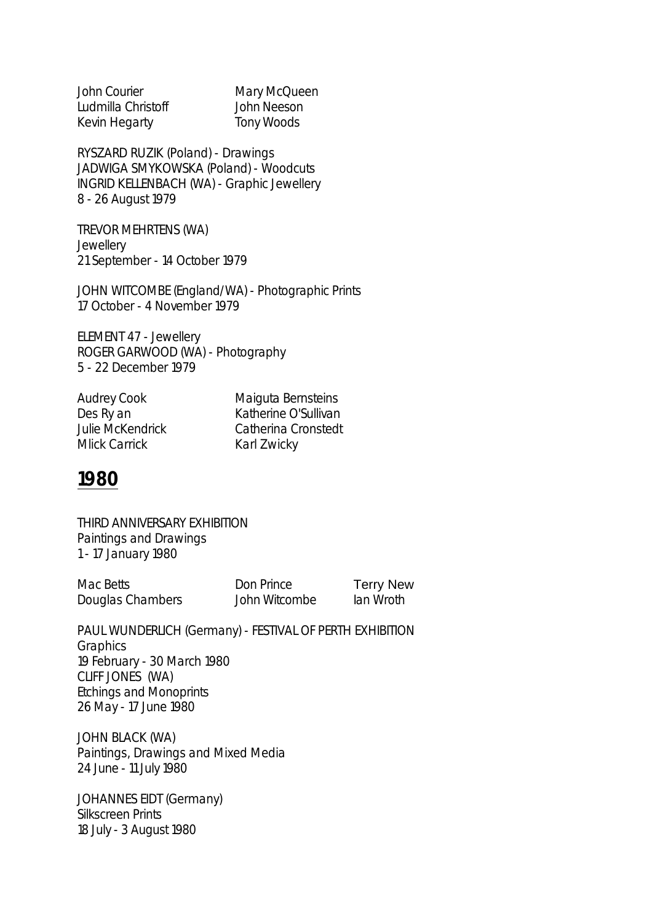| <b>John Courier</b> | Mary McQueen |
|---------------------|--------------|
| Ludmilla Christoff  | John Neeson  |
| Kevin Hegarty       | Tony Woods   |

RYSZARD RUZIK (Poland) - Drawings JADWIGA SMYKOWSKA (Poland) - Woodcuts INGRID KELLENBACH (WA) - Graphic Jewellery 8 - 26 August 1979

TREVOR MEHRTENS (WA) **Jewellery** 21 September - 14 October 1979

JOHN WITCOMBE (England/WA) - Photographic Prints 17 October - 4 November 1979

ELEMENT 47 - Jewellery ROGER GARWOOD (WA) - Photography 5 - 22 December 1979

Mlick Carrick **Karl Zwicky** 

Audrey Cook Maiguta Bernsteins Des Ry an Katherine O'Sullivan Julie McKendrick Catherina Cronstedt

# **1980**

THIRD ANNIVERSARY EXHIBITION Paintings and Drawings 1 - 17 January 1980

| Mac Betts        | Don Prince    | <b>Terry New</b> |
|------------------|---------------|------------------|
| Douglas Chambers | John Witcombe | lan Wroth        |

PAUL WUNDERLICH (Germany) - FESTIVAL OF PERTH EXHIBITION **Graphics** 19 February - 30 March 1980 CLIFF JONES (WA) Etchings and Monoprints 26 May - 17 June 1980

JOHN BLACK (WA) Paintings, Drawings and Mixed Media 24 June - 11 July 1980

JOHANNES EIDT (Germany) Silkscreen Prints 18 July - 3 August 1980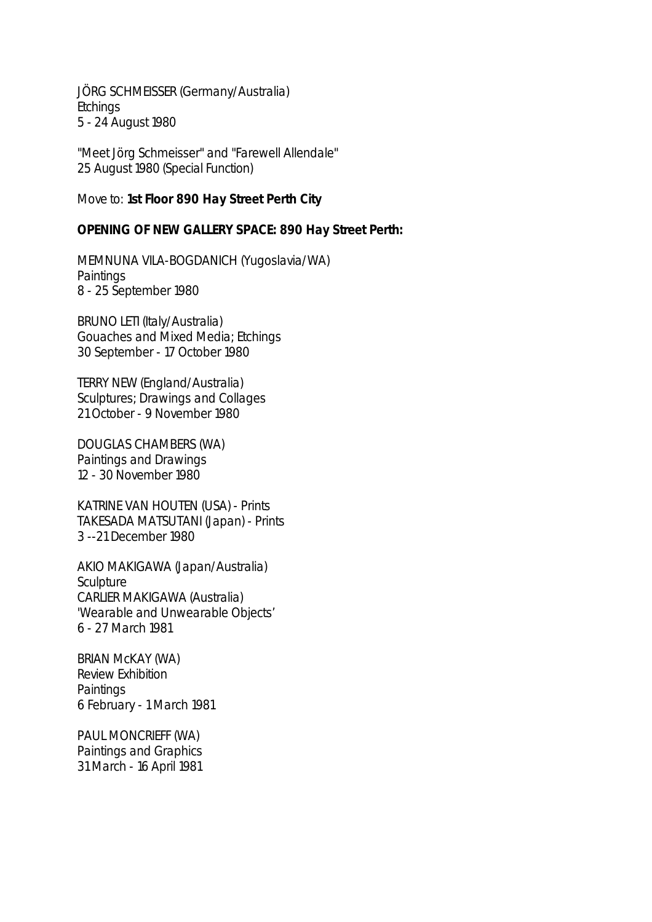JÖRG SCHMEISSER (Germany/Australia) **Etchings** 5 - 24 August 1980

"Meet Jörg Schmeisser" and "Farewell Allendale" 25 August 1980 (Special Function)

Move to: **1st Floor 890 Hay Street Perth City**

#### **OPENING OF NEW GALLERY SPACE: 890 Hay Street Perth:**

MEMNUNA VILA-BOGDANICH (Yugoslavia/WA) **Paintings** 8 - 25 September 1980

BRUNO LETI (Italy/Australia) Gouaches and Mixed Media; Etchings 30 September - 17 October 1980

TERRY NEW (England/Australia) Sculptures; Drawings and Collages 21 October - 9 November 1980

DOUGLAS CHAMBERS (WA) Paintings and Drawings 12 - 30 November 1980

KATRINE VAN HOUTEN (USA) - Prints TAKESADA MATSUTANI (Japan) - Prints 3 --21 December 1980

AKIO MAKIGAWA (Japan/Australia) **Sculpture** CARLIER MAKIGAWA (Australia) 'Wearable and Unwearable Objects' 6 - 27 March 1981

BRIAN McKAY (WA) Review Exhibition **Paintings** 6 February - 1 March 1981

PAUL MONCRIEFF (WA) Paintings and Graphics 31 March - 16 April 1981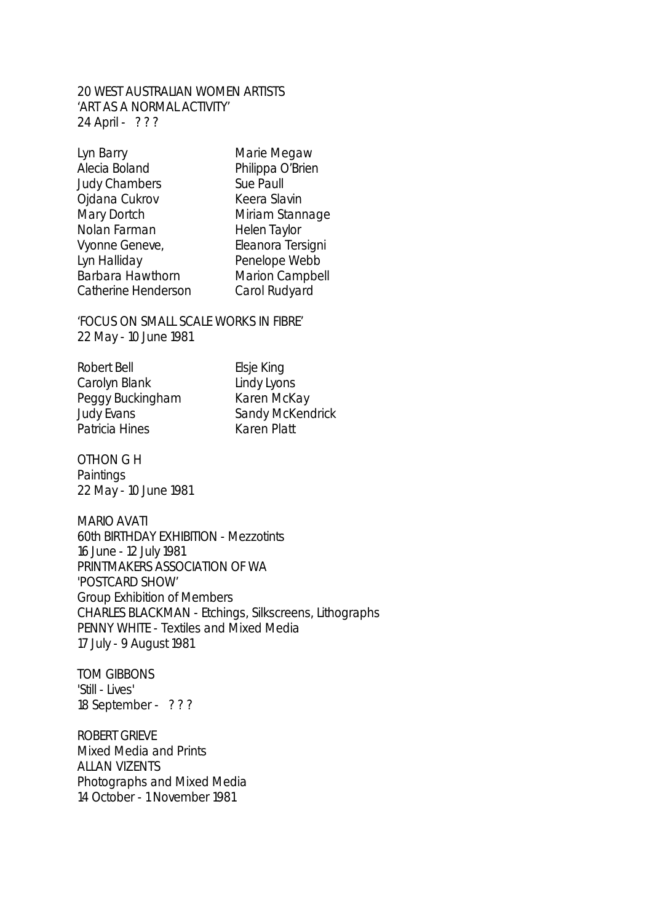### 20 WEST AUSTRALIAN WOMEN ARTISTS 'ART AS A NORMAL ACTIVITY' 24 April - ? ? ?

| Marie Me   |
|------------|
| Philippa ( |
| Sue Paull  |
| Keera Sla  |
| Miriam S   |
| Helen Ta   |
| Eleanora   |
| Penelope   |
| Marion C   |
| Carol Ru   |
|            |

ie Megaw ppa O'Brien ra Slavin am Stannage n Taylor nora Tersigni elope Webb ion Campbell bl Rudyard

'FOCUS ON SMALL SCALE WORKS IN FIBRE' 22 May - 10 June 1981

Robert Bell **Elsie King** Carolyn Blank Lindy Lyons Peggy Buckingham Karen McKay<br>Judy Evans Sandy McKeno Patricia Hines Karen Platt

Sandy McKendrick

OTHON G H **Paintings** 22 May - 10 June 1981

MARIO AVATI 60th BIRTHDAY EXHIBITION - Mezzotints 16 June - 12 July 1981 PRINTMAKERS ASSOCIATION OF WA 'POSTCARD SHOW' Group Exhibition of Members CHARLES BLACKMAN - Etchings, Silkscreens, Lithographs PENNY WHITE - Textiles and Mixed Media 17 July - 9 August 1981

TOM GIBBONS 'Still - Lives' 18 September - ? ? ?

ROBERT GRIEVE Mixed Media and Prints ALLAN VIZENTS Photographs and Mixed Media 14 October - 1 November 1981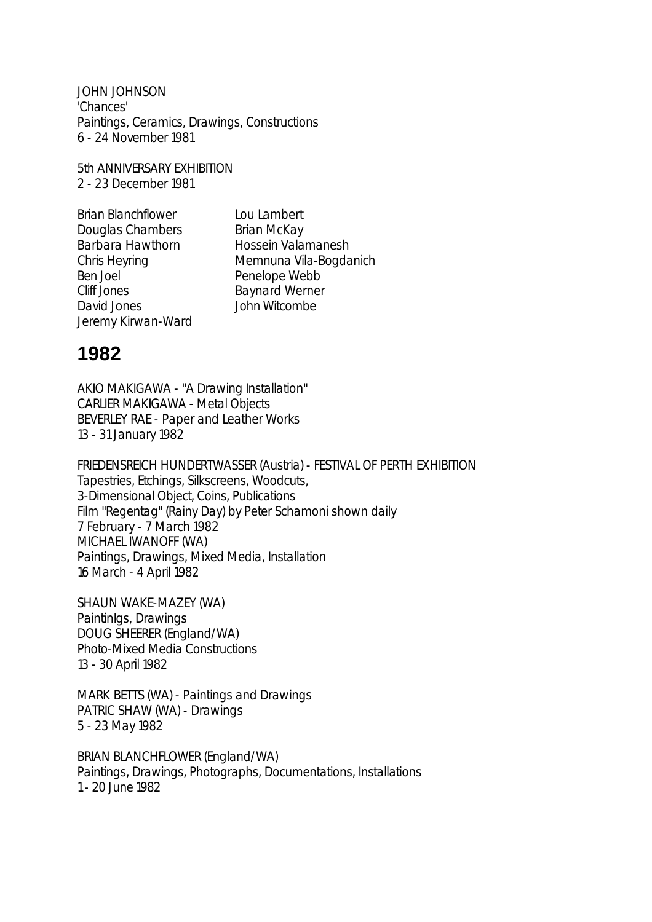JOHN JOHNSON 'Chances' Paintings, Ceramics, Drawings, Constructions 6 - 24 November 1981

5th ANNIVERSARY EXHIBITION 2 - 23 December 1981

Brian Blanchflower Lou Lambert Douglas Chambers Brian McKay Barbara Hawthorn Hossein Valamanesh Chris Heyring Memnuna Vila-Bogdanich Ben Joel Penelope Webb Cliff Jones Baynard Werner David Jones John Witcombe Jeremy Kirwan-Ward

# **1982**

AKIO MAKIGAWA - "A Drawing Installation" CARLIER MAKIGAWA - Metal Objects BEVERLEY RAE - Paper and Leather Works 13 - 31 January 1982

FRIEDENSREICH HUNDERTWASSER (Austria) - FESTIVAL OF PERTH EXHIBITION Tapestries, Etchings, Silkscreens, Woodcuts, 3-Dimensional Object, Coins, Publications Film "Regentag" (Rainy Day) by Peter Schamoni shown daily 7 February - 7 March 1982 MICHAEL IWANOFF (WA) Paintings, Drawings, Mixed Media, Installation 16 March - 4 April 1982

SHAUN WAKE-MAZEY (WA) PaintinIgs, Drawings DOUG SHEERER (England/WA) Photo-Mixed Media Constructions 13 - 30 April 1982

MARK BETTS (WA) - Paintings and Drawings PATRIC SHAW (WA) - Drawings 5 - 23 May 1982

BRIAN BLANCHFLOWER (England/WA) Paintings, Drawings, Photographs, Documentations, Installations 1 - 20 June 1982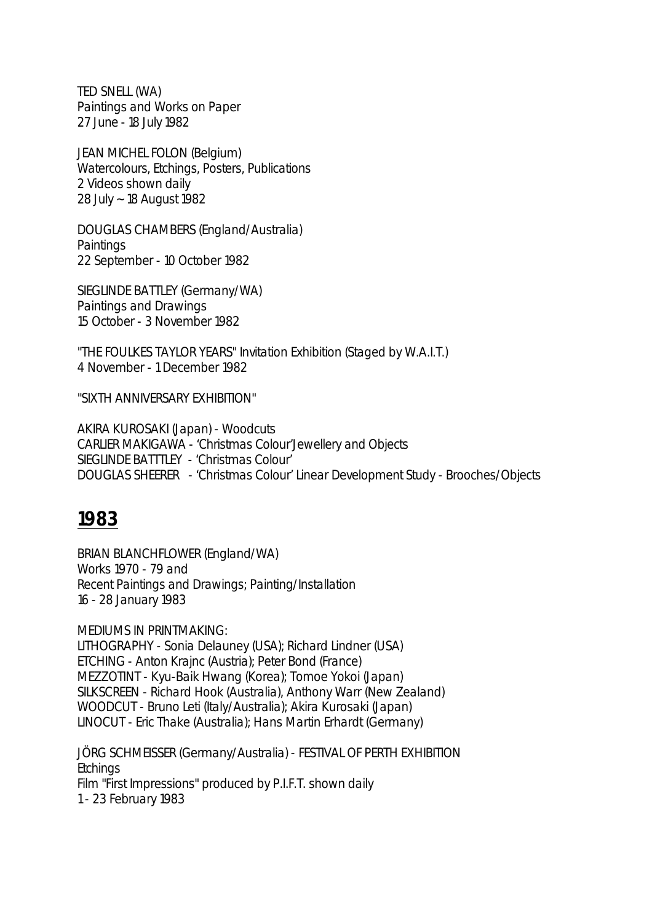TED SNELL (WA) Paintings and Works on Paper 27 June - 18 July 1982

JEAN MICHEL FOLON (Belgium) Watercolours, Etchings, Posters, Publications 2 Videos shown daily 28 July ~ 18 August 1982

DOUGLAS CHAMBERS (England/Australia) **Paintings** 22 September - 10 October 1982

SIEGLINDE BATTLEY (Germany/WA) Paintings and Drawings 15 October - 3 November 1982

"THE FOULKES TAYLOR YEARS" Invitation Exhibition (Staged by W.A.I.T.) 4 November - 1 December 1982

"SIXTH ANNIVERSARY EXHIBITION"

AKIRA KUROSAKI (Japan) - Woodcuts CARLIER MAKIGAWA - 'Christmas Colour'Jewellery and Objects SIEGLINDE BATTTLEY - 'Christmas Colour' DOUGLAS SHEERER - 'Christmas Colour' Linear Development Study - Brooches/Objects

# **1983**

BRIAN BLANCHFLOWER (England/WA) Works 1970 - 79 and Recent Paintings and Drawings; Painting/Installation 16 - 28 January 1983

MEDIUMS IN PRINTMAKING: LITHOGRAPHY - Sonia Delauney (USA); Richard Lindner (USA) ETCHING - Anton Krajnc (Austria); Peter Bond (France) MEZZOTINT - Kyu-Baik Hwang (Korea); Tomoe Yokoi (Japan) SILKSCREEN - Richard Hook (Australia), Anthony Warr (New Zealand) WOODCUT - Bruno Leti (Italy/Australia); Akira Kurosaki (Japan) LINOCUT - Eric Thake (Australia); Hans Martin Erhardt (Germany)

JÖRG SCHMEISSER (Germany/Australia) - FESTIVAL OF PERTH EXHIBITION **Etchings** Film "First Impressions" produced by P.I.F.T. shown daily 1 - 23 February 1983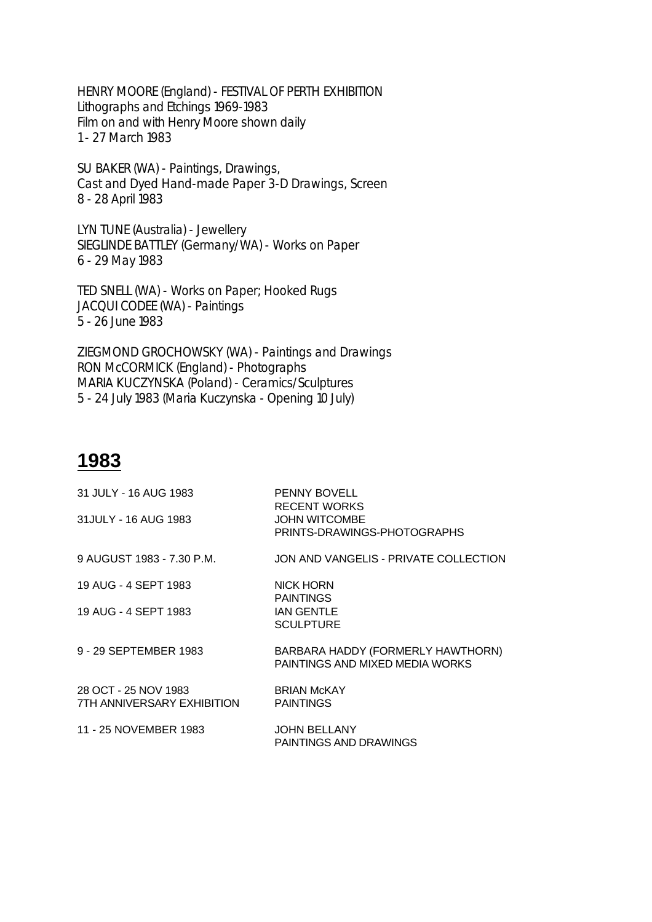HENRY MOORE (England) - FESTIVAL OF PERTH EXHIBITION Lithographs and Etchings 1969-1983 Film on and with Henry Moore shown daily 1 - 27 March 1983

SU BAKER (WA) - Paintings, Drawings, Cast and Dyed Hand-made Paper 3-D Drawings, Screen 8 - 28 April 1983

LYN TUNE (Australia) - Jewellery SIEGLINDE BATTLEY (Germany/WA) - Works on Paper 6 - 29 May 1983

TED SNELL (WA) - Works on Paper; Hooked Rugs JACQUI CODEE (WA) - Paintings 5 - 26 June 1983

ZIEGMOND GROCHOWSKY (WA) - Paintings and Drawings RON McCORMICK (England) - Photographs MARIA KUCZYNSKA (Poland) - Ceramics/Sculptures 5 - 24 July 1983 (Maria Kuczynska - Opening 10 July)

| 31 JULY - 16 AUG 1983                              | <b>PENNY BOVELL</b><br><b>RECENT WORKS</b>                           |
|----------------------------------------------------|----------------------------------------------------------------------|
| 31JULY - 16 AUG 1983                               | <b>JOHN WITCOMBE</b><br>PRINTS-DRAWINGS-PHOTOGRAPHS                  |
| 9 AUGUST 1983 - 7.30 P.M.                          | JON AND VANGELIS - PRIVATE COLLECTION                                |
| 19 AUG - 4 SEPT 1983                               | <b>NICK HORN</b><br><b>PAINTINGS</b>                                 |
| 19 AUG - 4 SEPT 1983                               | <b>IAN GENTLE</b><br><b>SCULPTURE</b>                                |
| 9 - 29 SEPTEMBER 1983                              | BARBARA HADDY (FORMERLY HAWTHORN)<br>PAINTINGS AND MIXED MEDIA WORKS |
| 28 OCT - 25 NOV 1983<br>7TH ANNIVERSARY EXHIBITION | <b>BRIAN McKAY</b><br><b>PAINTINGS</b>                               |
| 11 - 25 NOVEMBER 1983                              | <b>JOHN BELLANY</b><br>PAINTINGS AND DRAWINGS                        |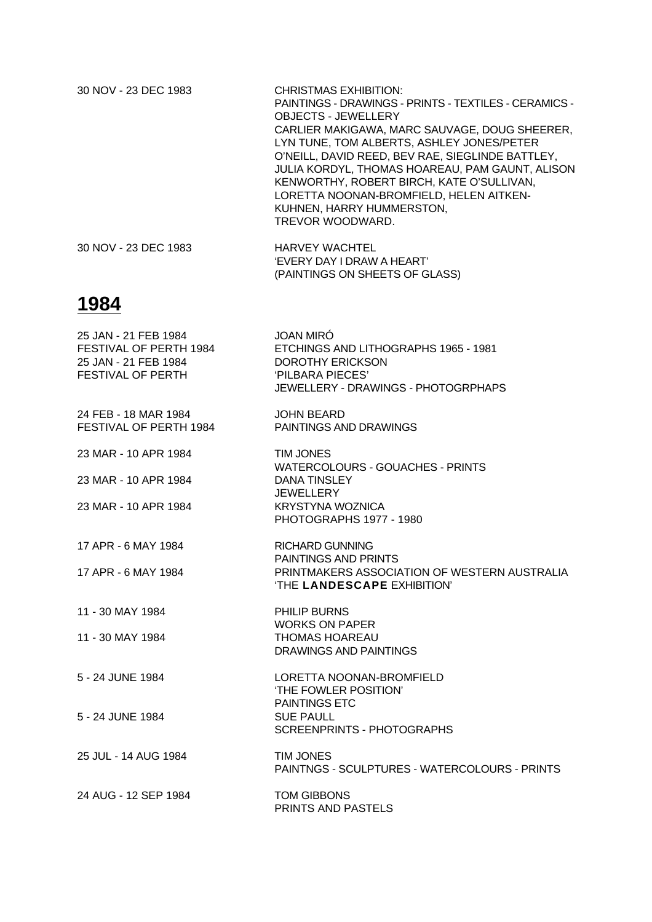| 30 NOV - 23 DEC 1983 | CHRISTMAS EXHIBITION:                                 |
|----------------------|-------------------------------------------------------|
|                      | PAINTINGS - DRAWINGS - PRINTS - TEXTILES - CERAMICS - |
|                      | <b>OBJECTS - JEWELLERY</b>                            |
|                      | CARLIER MAKIGAWA, MARC SAUVAGE, DOUG SHEERER,         |
|                      | LYN TUNE, TOM ALBERTS, ASHLEY JONES/PETER             |
|                      | O'NEILL, DAVID REED, BEV RAE, SIEGLINDE BATTLEY,      |
|                      | JULIA KORDYL, THOMAS HOAREAU, PAM GAUNT, ALISON       |
|                      | KENWORTHY, ROBERT BIRCH, KATE O'SULLIVAN,             |
|                      | LORETTA NOONAN-BROMFIELD, HELEN AITKEN-               |
|                      | KUHNEN, HARRY HUMMERSTON,                             |
|                      | TREVOR WOODWARD.                                      |
| 30 NOV - 23 DEC 1983 | <b>HARVEY WACHTEL</b>                                 |
|                      | 'EVERY DAY I DRAW A HEART'                            |

(PAINTINGS ON SHEETS OF GLASS)

| 25 JAN - 21 FEB 1984<br>FESTIVAL OF PERTH 1984<br>25 JAN - 21 FEB 1984<br>FESTIVAL OF PERTH | <b>JOAN MIRO</b><br>ETCHINGS AND LITHOGRAPHS 1965 - 1981<br><b>DOROTHY ERICKSON</b><br>'PILBARA PIECES'<br>JEWELLERY - DRAWINGS - PHOTOGRPHAPS |
|---------------------------------------------------------------------------------------------|------------------------------------------------------------------------------------------------------------------------------------------------|
| 24 FEB - 18 MAR 1984<br>FESTIVAL OF PERTH 1984                                              | <b>JOHN BEARD</b><br>PAINTINGS AND DRAWINGS                                                                                                    |
| 23 MAR - 10 APR 1984                                                                        | <b>TIM JONES</b><br><b>WATERCOLOURS - GOUACHES - PRINTS</b>                                                                                    |
| 23 MAR - 10 APR 1984                                                                        | <b>DANA TINSLEY</b><br><b>JEWELLERY</b>                                                                                                        |
| 23 MAR - 10 APR 1984                                                                        | <b>KRYSTYNA WOZNICA</b><br>PHOTOGRAPHS 1977 - 1980                                                                                             |
| 17 APR - 6 MAY 1984                                                                         | <b>RICHARD GUNNING</b><br>PAINTINGS AND PRINTS                                                                                                 |
| 17 APR - 6 MAY 1984                                                                         | PRINTMAKERS ASSOCIATION OF WESTERN AUSTRALIA<br>'THE LANDESCAPE EXHIBITION'                                                                    |
| 11 - 30 MAY 1984                                                                            | PHILIP BURNS<br><b>WORKS ON PAPER</b>                                                                                                          |
| 11 - 30 MAY 1984                                                                            | <b>THOMAS HOAREAU</b><br>DRAWINGS AND PAINTINGS                                                                                                |
| 5 - 24 JUNE 1984                                                                            | LORETTA NOONAN-BROMFIELD<br>'THE FOWLER POSITION'                                                                                              |
| 5 - 24 JUNE 1984                                                                            | <b>PAINTINGS ETC</b><br><b>SUE PAULL</b><br>SCREENPRINTS - PHOTOGRAPHS                                                                         |
| 25 JUL - 14 AUG 1984                                                                        | <b>TIM JONES</b><br>PAINTNGS - SCULPTURES - WATERCOLOURS - PRINTS                                                                              |
| 24 AUG - 12 SEP 1984                                                                        | <b>TOM GIBBONS</b><br>PRINTS AND PASTELS                                                                                                       |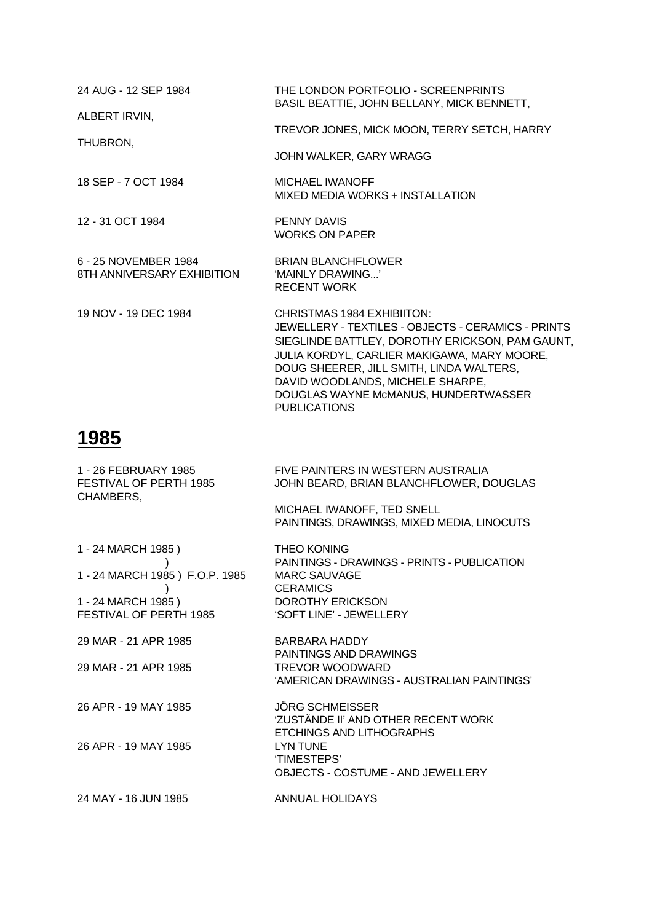| 24 AUG - 12 SEP 1984                               | THE LONDON PORTFOLIO - SCREENPRINTS<br>BASIL BEATTIE, JOHN BELLANY, MICK BENNETT,                                                                                                                                                                                                                                                 |
|----------------------------------------------------|-----------------------------------------------------------------------------------------------------------------------------------------------------------------------------------------------------------------------------------------------------------------------------------------------------------------------------------|
| ALBERT IRVIN,                                      | TREVOR JONES, MICK MOON, TERRY SETCH, HARRY                                                                                                                                                                                                                                                                                       |
| THUBRON,                                           | JOHN WALKER, GARY WRAGG                                                                                                                                                                                                                                                                                                           |
| 18 SEP - 7 OCT 1984                                | MICHAEL IWANOFF<br>MIXED MEDIA WORKS + INSTALLATION                                                                                                                                                                                                                                                                               |
| 12 - 31 OCT 1984                                   | PENNY DAVIS<br><b>WORKS ON PAPER</b>                                                                                                                                                                                                                                                                                              |
| 6 - 25 NOVEMBER 1984<br>8TH ANNIVERSARY EXHIBITION | <b>BRIAN BLANCHFLOWER</b><br>'MAINLY DRAWING'<br><b>RECENT WORK</b>                                                                                                                                                                                                                                                               |
| 19 NOV - 19 DEC 1984                               | CHRISTMAS 1984 EXHIBIITON:<br>JEWELLERY - TEXTILES - OBJECTS - CERAMICS - PRINTS<br>SIEGLINDE BATTLEY, DOROTHY ERICKSON, PAM GAUNT,<br>JULIA KORDYL, CARLIER MAKIGAWA, MARY MOORE,<br>DOUG SHEERER, JILL SMITH, LINDA WALTERS,<br>DAVID WOODLANDS, MICHELE SHARPE,<br>DOUGLAS WAYNE McMANUS, HUNDERTWASSER<br><b>PUBLICATIONS</b> |

| 1 - 26 FEBRUARY 1985<br>FESTIVAL OF PERTH 1985<br>CHAMBERS, | FIVE PAINTERS IN WESTERN AUSTRALIA<br>JOHN BEARD, BRIAN BLANCHFLOWER, DOUGLAS                               |
|-------------------------------------------------------------|-------------------------------------------------------------------------------------------------------------|
|                                                             | MICHAEL IWANOFF, TED SNELL<br>PAINTINGS, DRAWINGS, MIXED MEDIA, LINOCUTS                                    |
| 1 - 24 MARCH 1985)<br>1 - 24 MARCH 1985 ) F.O.P. 1985       | <b>THEO KONING</b><br>PAINTINGS - DRAWINGS - PRINTS - PUBLICATION<br><b>MARC SAUVAGE</b><br><b>CERAMICS</b> |
| 1 - 24 MARCH 1985)<br>FESTIVAL OF PERTH 1985                | <b>DOROTHY ERICKSON</b><br>'SOFT LINE' - JEWELLERY                                                          |
| 29 MAR - 21 APR 1985                                        | BARBARA HADDY<br>PAINTINGS AND DRAWINGS                                                                     |
| 29 MAR - 21 APR 1985                                        | TREVOR WOODWARD<br>'AMERICAN DRAWINGS - AUSTRALIAN PAINTINGS'                                               |
| 26 APR - 19 MAY 1985                                        | <b>JÖRG SCHMEISSER</b><br>'ZUSTÄNDE II' AND OTHER RECENT WORK<br>ETCHINGS AND LITHOGRAPHS                   |
| 26 APR - 19 MAY 1985                                        | <b>LYN TUNE</b><br>'TIMESTEPS'<br><b>OBJECTS - COSTUME - AND JEWELLERY</b>                                  |
| 24 MAY - 16 JUN 1985                                        | ANNUAL HOLIDAYS                                                                                             |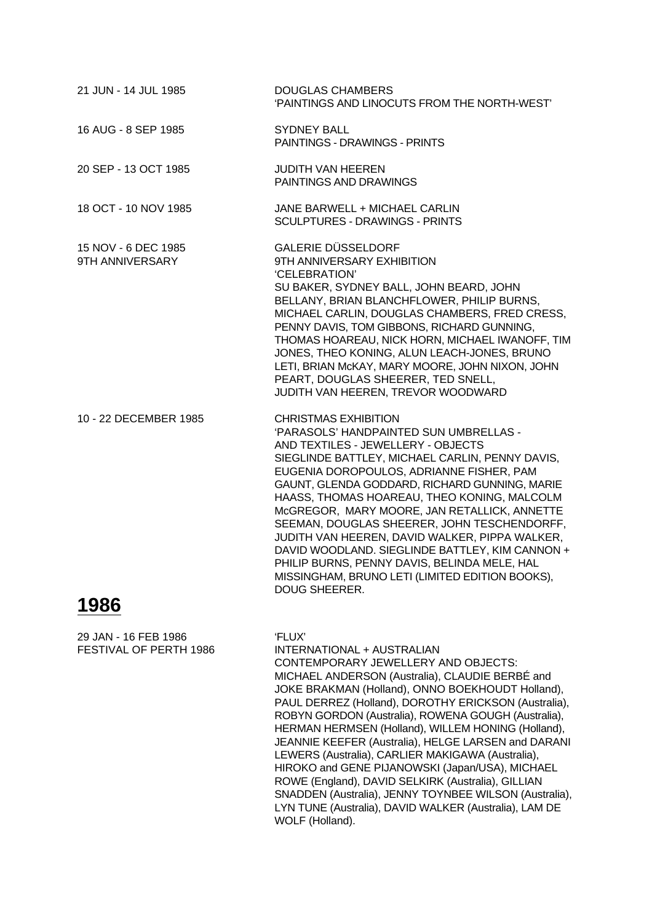| 21 JUN - 14 JUL 1985                   | <b>DOUGLAS CHAMBERS</b><br>'PAINTINGS AND LINOCUTS FROM THE NORTH-WEST'                                                                                                                                                                                                                                                                                                                                                                                                                                                                                                                                                                   |
|----------------------------------------|-------------------------------------------------------------------------------------------------------------------------------------------------------------------------------------------------------------------------------------------------------------------------------------------------------------------------------------------------------------------------------------------------------------------------------------------------------------------------------------------------------------------------------------------------------------------------------------------------------------------------------------------|
| 16 AUG - 8 SEP 1985                    | <b>SYDNEY BALL</b><br>PAINTINGS - DRAWINGS - PRINTS                                                                                                                                                                                                                                                                                                                                                                                                                                                                                                                                                                                       |
| 20 SEP - 13 OCT 1985                   | <b>JUDITH VAN HEEREN</b><br>PAINTINGS AND DRAWINGS                                                                                                                                                                                                                                                                                                                                                                                                                                                                                                                                                                                        |
| 18 OCT - 10 NOV 1985                   | JANE BARWELL + MICHAEL CARLIN<br><b>SCULPTURES - DRAWINGS - PRINTS</b>                                                                                                                                                                                                                                                                                                                                                                                                                                                                                                                                                                    |
| 15 NOV - 6 DEC 1985<br>9TH ANNIVERSARY | <b>GALERIE DÜSSELDORF</b><br>9TH ANNIVERSARY EXHIBITION<br>'CELEBRATION'<br>SU BAKER, SYDNEY BALL, JOHN BEARD, JOHN<br>BELLANY, BRIAN BLANCHFLOWER, PHILIP BURNS,<br>MICHAEL CARLIN, DOUGLAS CHAMBERS, FRED CRESS,<br>PENNY DAVIS, TOM GIBBONS, RICHARD GUNNING,<br>THOMAS HOAREAU, NICK HORN, MICHAEL IWANOFF, TIM<br>JONES, THEO KONING, ALUN LEACH-JONES, BRUNO<br>LETI, BRIAN McKAY, MARY MOORE, JOHN NIXON, JOHN<br>PEART, DOUGLAS SHEERER, TED SNELL,<br>JUDITH VAN HEEREN, TREVOR WOODWARD                                                                                                                                         |
| 10 - 22 DECEMBER 1985<br>$\lambda$     | <b>CHRISTMAS EXHIBITION</b><br>'PARASOLS' HANDPAINTED SUN UMBRELLAS -<br>AND TEXTILES - JEWELLERY - OBJECTS<br>SIEGLINDE BATTLEY, MICHAEL CARLIN, PENNY DAVIS,<br>EUGENIA DOROPOULOS, ADRIANNE FISHER, PAM<br>GAUNT, GLENDA GODDARD, RICHARD GUNNING, MARIE<br>HAASS, THOMAS HOAREAU, THEO KONING, MALCOLM<br>McGREGOR, MARY MOORE, JAN RETALLICK, ANNETTE<br>SEEMAN, DOUGLAS SHEERER, JOHN TESCHENDORFF,<br>JUDITH VAN HEEREN, DAVID WALKER, PIPPA WALKER,<br>DAVID WOODLAND. SIEGLINDE BATTLEY, KIM CANNON +<br>PHILIP BURNS, PENNY DAVIS, BELINDA MELE, HAL<br>MISSINGHAM, BRUNO LETI (LIMITED EDITION BOOKS),<br><b>DOUG SHEERER.</b> |

29 JAN - 16 FEB 1986 'FLUX'

FESTIVAL OF PERTH 1986 INTERNATIONAL + AUSTRALIAN CONTEMPORARY JEWELLERY AND OBJECTS: MICHAEL ANDERSON (Australia), CLAUDIE BERBÉ and JOKE BRAKMAN (Holland), ONNO BOEKHOUDT Holland), PAUL DERREZ (Holland), DOROTHY ERICKSON (Australia), ROBYN GORDON (Australia), ROWENA GOUGH (Australia), HERMAN HERMSEN (Holland), WILLEM HONING (Holland), JEANNIE KEEFER (Australia), HELGE LARSEN and DARANI LEWERS (Australia), CARLIER MAKIGAWA (Australia), HIROKO and GENE PIJANOWSKI (Japan/USA), MICHAEL ROWE (England), DAVID SELKIRK (Australia), GILLIAN SNADDEN (Australia), JENNY TOYNBEE WILSON (Australia), LYN TUNE (Australia), DAVID WALKER (Australia), LAM DE WOLF (Holland).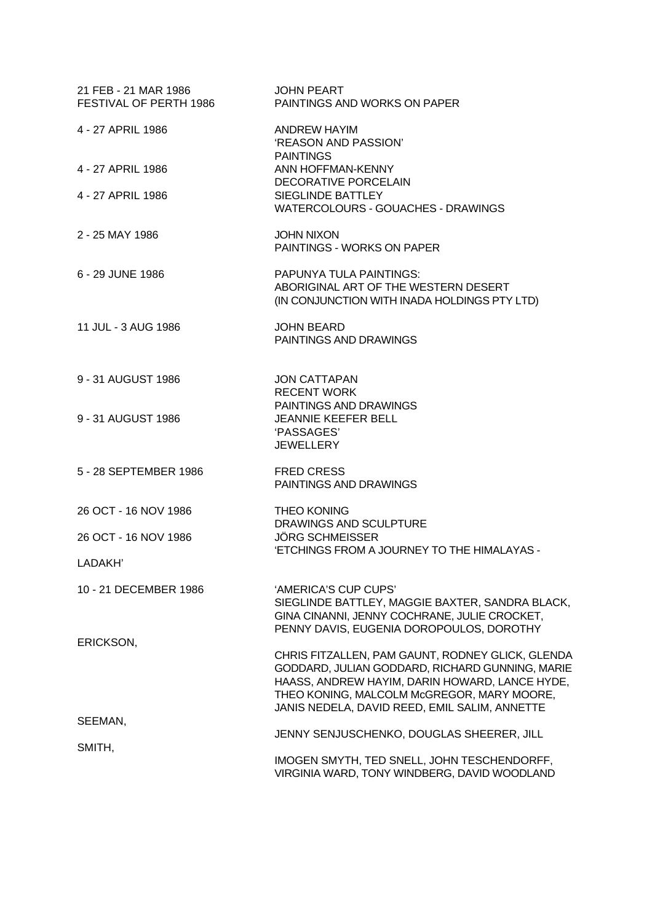| 21 FEB - 21 MAR 1986<br>FESTIVAL OF PERTH 1986 | <b>JOHN PEART</b><br>PAINTINGS AND WORKS ON PAPER                                                                                                                                                                                                    |
|------------------------------------------------|------------------------------------------------------------------------------------------------------------------------------------------------------------------------------------------------------------------------------------------------------|
| 4 - 27 APRIL 1986                              | ANDREW HAYIM<br>'REASON AND PASSION'                                                                                                                                                                                                                 |
| 4 - 27 APRIL 1986                              | <b>PAINTINGS</b><br>ANN HOFFMAN-KENNY<br>DECORATIVE PORCELAIN                                                                                                                                                                                        |
| 4 - 27 APRIL 1986                              | SIEGLINDE BATTLEY<br>WATERCOLOURS - GOUACHES - DRAWINGS                                                                                                                                                                                              |
| 2 - 25 MAY 1986                                | <b>JOHN NIXON</b><br>PAINTINGS - WORKS ON PAPER                                                                                                                                                                                                      |
| 6 - 29 JUNE 1986                               | PAPUNYA TULA PAINTINGS:<br>ABORIGINAL ART OF THE WESTERN DESERT<br>(IN CONJUNCTION WITH INADA HOLDINGS PTY LTD)                                                                                                                                      |
| 11 JUL - 3 AUG 1986                            | <b>JOHN BEARD</b><br>PAINTINGS AND DRAWINGS                                                                                                                                                                                                          |
| 9 - 31 AUGUST 1986                             | <b>JON CATTAPAN</b><br><b>RECENT WORK</b>                                                                                                                                                                                                            |
| 9 - 31 AUGUST 1986                             | PAINTINGS AND DRAWINGS<br><b>JEANNIE KEEFER BELL</b><br>'PASSAGES'<br><b>JEWELLERY</b>                                                                                                                                                               |
| 5 - 28 SEPTEMBER 1986                          | <b>FRED CRESS</b><br>PAINTINGS AND DRAWINGS                                                                                                                                                                                                          |
| 26 OCT - 16 NOV 1986                           | <b>THEO KONING</b><br>DRAWINGS AND SCULPTURE                                                                                                                                                                                                         |
| 26 OCT - 16 NOV 1986                           | <b>JÖRG SCHMEISSER</b><br>'ETCHINGS FROM A JOURNEY TO THE HIMALAYAS -                                                                                                                                                                                |
| LADAKH'                                        |                                                                                                                                                                                                                                                      |
| 10 - 21 DECEMBER 1986                          | 'AMERICA'S CUP CUPS'<br>SIEGLINDE BATTLEY, MAGGIE BAXTER, SANDRA BLACK,<br>GINA CINANNI, JENNY COCHRANE, JULIE CROCKET,<br>PENNY DAVIS, EUGENIA DOROPOULOS, DOROTHY                                                                                  |
| ERICKSON,                                      | CHRIS FITZALLEN, PAM GAUNT, RODNEY GLICK, GLENDA<br>GODDARD, JULIAN GODDARD, RICHARD GUNNING, MARIE<br>HAASS, ANDREW HAYIM, DARIN HOWARD, LANCE HYDE,<br>THEO KONING, MALCOLM McGREGOR, MARY MOORE,<br>JANIS NEDELA, DAVID REED, EMIL SALIM, ANNETTE |
| SEEMAN,                                        | JENNY SENJUSCHENKO, DOUGLAS SHEERER, JILL                                                                                                                                                                                                            |
| SMITH,                                         | IMOGEN SMYTH, TED SNELL, JOHN TESCHENDORFF,<br>VIRGINIA WARD, TONY WINDBERG, DAVID WOODLAND                                                                                                                                                          |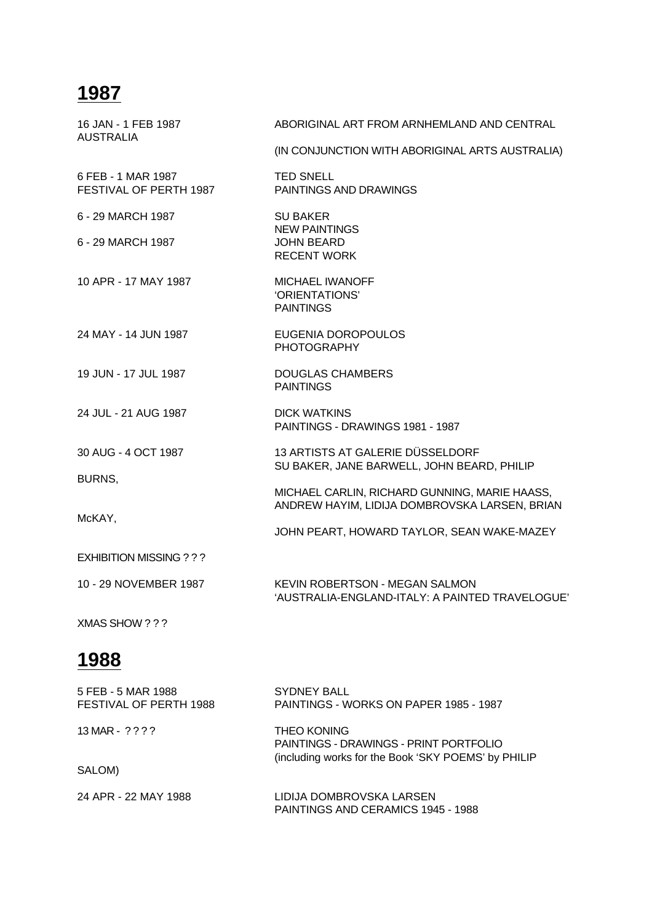| 16 JAN - 1 FEB 1987<br>AUSTRALIA             | ABORIGINAL ART FROM ARNHEMLAND AND CENTRAL                                                     |
|----------------------------------------------|------------------------------------------------------------------------------------------------|
|                                              | (IN CONJUNCTION WITH ABORIGINAL ARTS AUSTRALIA)                                                |
| 6 FEB - 1 MAR 1987<br>FESTIVAL OF PERTH 1987 | <b>TED SNELL</b><br><b>PAINTINGS AND DRAWINGS</b>                                              |
| 6 - 29 MARCH 1987                            | <b>SU BAKER</b><br><b>NEW PAINTINGS</b>                                                        |
| 6 - 29 MARCH 1987                            | <b>JOHN BEARD</b><br><b>RECENT WORK</b>                                                        |
| 10 APR - 17 MAY 1987                         | <b>MICHAEL IWANOFF</b><br>'ORIENTATIONS'<br><b>PAINTINGS</b>                                   |
| 24 MAY - 14 JUN 1987                         | EUGENIA DOROPOULOS<br><b>PHOTOGRAPHY</b>                                                       |
| 19 JUN - 17 JUL 1987                         | DOUGLAS CHAMBERS<br><b>PAINTINGS</b>                                                           |
| 24 JUL - 21 AUG 1987                         | <b>DICK WATKINS</b><br>PAINTINGS - DRAWINGS 1981 - 1987                                        |
| 30 AUG - 4 OCT 1987                          | 13 ARTISTS AT GALERIE DÜSSELDORF<br>SU BAKER, JANE BARWELL, JOHN BEARD, PHILIP                 |
| BURNS,                                       | MICHAEL CARLIN, RICHARD GUNNING, MARIE HAASS,<br>ANDREW HAYIM, LIDIJA DOMBROVSKA LARSEN, BRIAN |
| McKAY,                                       | JOHN PEART, HOWARD TAYLOR, SEAN WAKE-MAZEY                                                     |
| <b>EXHIBITION MISSING ? ? ?</b>              |                                                                                                |
| 10 - 29 NOVEMBER 1987                        | <b>KEVIN ROBERTSON - MEGAN SALMON</b><br>'AUSTRALIA-ENGLAND-ITALY: A PAINTED TRAVELOGUE'       |
| XMAS SHOW ? ? ?                              |                                                                                                |
| 1988                                         |                                                                                                |

| 5 FEB - 5 MAR 1988<br>FESTIVAL OF PERTH 1988 | <b>SYDNEY BALL</b><br>PAINTINGS - WORKS ON PAPER 1985 - 1987                                                        |
|----------------------------------------------|---------------------------------------------------------------------------------------------------------------------|
| 13 MAR - $? ? ?$                             | <b>THEO KONING</b><br>PAINTINGS - DRAWINGS - PRINT PORTFOLIO<br>(including works for the Book 'SKY POEMS' by PHILIP |
| SALOM)                                       |                                                                                                                     |
| 24 APR - 22 MAY 1988                         | LIDIJA DOMBROVSKA LARSEN<br>PAINTINGS AND CERAMICS 1945 - 1988                                                      |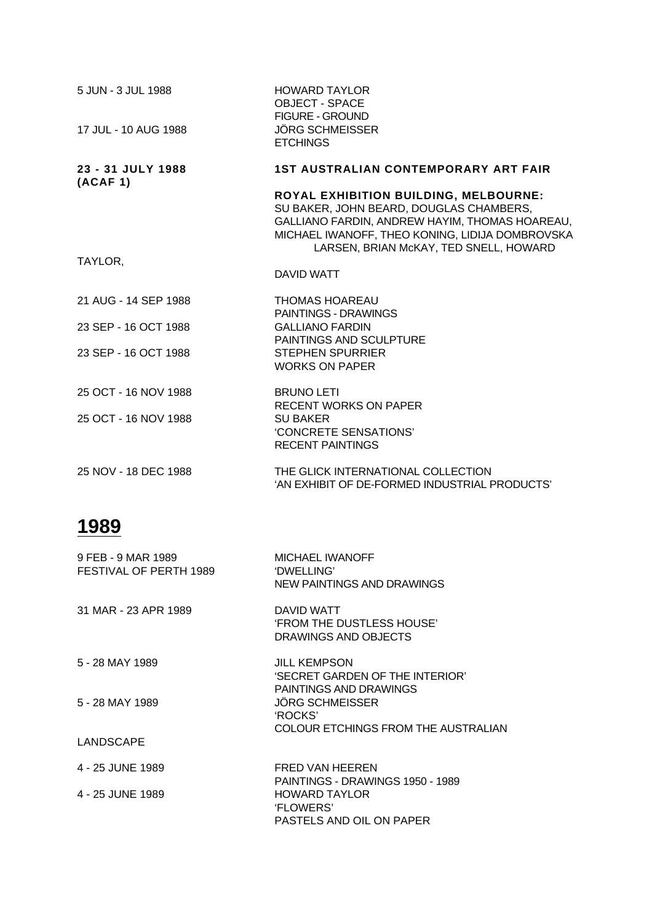| 5 JUN - 3 JUL 1988<br>17 JUL - 10 AUG 1988 | <b>HOWARD TAYLOR</b><br><b>OBJECT - SPACE</b><br><b>FIGURE - GROUND</b><br><b>JÖRG SCHMEISSER</b><br><b>ETCHINGS</b>                                                                                                            |
|--------------------------------------------|---------------------------------------------------------------------------------------------------------------------------------------------------------------------------------------------------------------------------------|
| 23 - 31 JULY 1988                          | <b>1ST AUSTRALIAN CONTEMPORARY ART FAIR</b>                                                                                                                                                                                     |
| (ACAF 1)                                   | ROYAL EXHIBITION BUILDING, MELBOURNE:<br>SU BAKER, JOHN BEARD, DOUGLAS CHAMBERS,<br>GALLIANO FARDIN, ANDREW HAYIM, THOMAS HOAREAU,<br>MICHAEL IWANOFF, THEO KONING, LIDIJA DOMBROVSKA<br>LARSEN, BRIAN McKAY, TED SNELL, HOWARD |
| TAYLOR.                                    | DAVID WATT                                                                                                                                                                                                                      |
| 21 AUG - 14 SEP 1988                       | <b>THOMAS HOAREAU</b><br><b>PAINTINGS - DRAWINGS</b>                                                                                                                                                                            |
| 23 SEP - 16 OCT 1988                       | <b>GALLIANO FARDIN</b><br>PAINTINGS AND SCULPTURE                                                                                                                                                                               |
| 23 SEP - 16 OCT 1988                       | <b>STEPHEN SPURRIER</b><br><b>WORKS ON PAPER</b>                                                                                                                                                                                |
| 25 OCT - 16 NOV 1988                       | <b>BRUNO LETI</b><br><b>RECENT WORKS ON PAPER</b>                                                                                                                                                                               |
| 25 OCT - 16 NOV 1988                       | <b>SU BAKER</b><br>'CONCRETE SENSATIONS'<br><b>RECENT PAINTINGS</b>                                                                                                                                                             |
| 25 NOV - 18 DEC 1988                       | THE GLICK INTERNATIONAL COLLECTION<br>'AN EXHIBIT OF DE-FORMED INDUSTRIAL PRODUCTS'                                                                                                                                             |

| 9 FEB - 9 MAR 1989<br>FESTIVAL OF PERTH 1989 | <b>MICHAEL IWANOFF</b><br>'DWELLING'<br><b>NEW PAINTINGS AND DRAWINGS</b>                               |
|----------------------------------------------|---------------------------------------------------------------------------------------------------------|
| 31 MAR - 23 APR 1989                         | DAVID WATT<br><b>FROM THE DUSTLESS HOUSE'</b><br>DRAWINGS AND OBJECTS                                   |
| 5 - 28 MAY 1989                              | <b>JILL KEMPSON</b><br>'SECRET GARDEN OF THE INTERIOR'<br>PAINTINGS AND DRAWINGS                        |
| 5 - 28 MAY 1989                              | <b>JÖRG SCHMEISSER</b><br>'ROCKS'<br>COLOUR ETCHINGS FROM THE AUSTRALIAN                                |
| LANDSCAPE                                    |                                                                                                         |
| 4 - 25 JUNE 1989                             | FRED VAN HEEREN                                                                                         |
| 4 - 25 JUNE 1989                             | PAINTINGS - DRAWINGS 1950 - 1989<br><b>HOWARD TAYLOR</b><br><b>FLOWERS'</b><br>PASTELS AND OIL ON PAPER |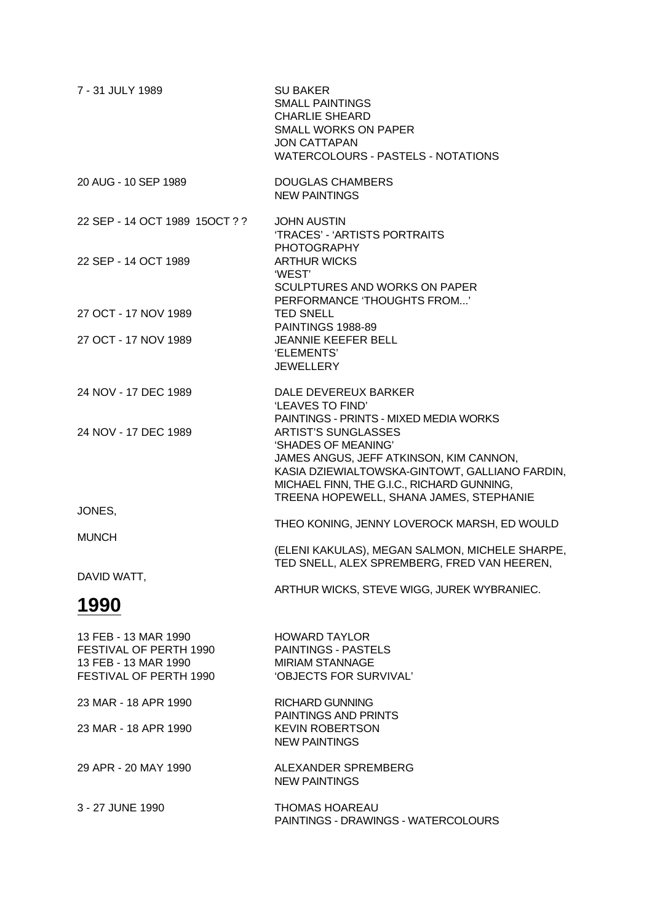| 7 - 31 JULY 1989                                                                                 | <b>SU BAKER</b><br><b>SMALL PAINTINGS</b><br><b>CHARLIE SHEARD</b><br><b>SMALL WORKS ON PAPER</b><br><b>JON CATTAPAN</b><br>WATERCOLOURS - PASTELS - NOTATIONS                                                                          |
|--------------------------------------------------------------------------------------------------|-----------------------------------------------------------------------------------------------------------------------------------------------------------------------------------------------------------------------------------------|
| 20 AUG - 10 SEP 1989                                                                             | <b>DOUGLAS CHAMBERS</b><br><b>NEW PAINTINGS</b>                                                                                                                                                                                         |
| 22 SEP - 14 OCT 1989 15OCT ? ?                                                                   | <b>JOHN AUSTIN</b><br>'TRACES' - 'ARTISTS PORTRAITS<br><b>PHOTOGRAPHY</b>                                                                                                                                                               |
| 22 SEP - 14 OCT 1989                                                                             | <b>ARTHUR WICKS</b><br>'WEST'<br>SCULPTURES AND WORKS ON PAPER<br>PERFORMANCE 'THOUGHTS FROM'                                                                                                                                           |
| 27 OCT - 17 NOV 1989                                                                             | <b>TED SNELL</b><br><b>PAINTINGS 1988-89</b>                                                                                                                                                                                            |
| 27 OCT - 17 NOV 1989                                                                             | JEANNIE KEEFER BELL<br>'ELEMENTS'<br><b>JEWELLERY</b>                                                                                                                                                                                   |
| 24 NOV - 17 DEC 1989                                                                             | DALE DEVEREUX BARKER<br>'LEAVES TO FIND'<br>PAINTINGS - PRINTS - MIXED MEDIA WORKS                                                                                                                                                      |
| 24 NOV - 17 DEC 1989                                                                             | <b>ARTIST'S SUNGLASSES</b><br>'SHADES OF MEANING'<br>JAMES ANGUS, JEFF ATKINSON, KIM CANNON,<br>KASIA DZIEWIALTOWSKA-GINTOWT, GALLIANO FARDIN,<br>MICHAEL FINN, THE G.I.C., RICHARD GUNNING,<br>TREENA HOPEWELL, SHANA JAMES, STEPHANIE |
| JONES,                                                                                           | THEO KONING, JENNY LOVEROCK MARSH, ED WOULD                                                                                                                                                                                             |
| <b>MUNCH</b>                                                                                     | (ELENI KAKULAS), MEGAN SALMON, MICHELE SHARPE,<br>TED SNELL, ALEX SPREMBERG, FRED VAN HEEREN,                                                                                                                                           |
| DAVID WATT,                                                                                      | ARTHUR WICKS, STEVE WIGG, JUREK WYBRANIEC.                                                                                                                                                                                              |
| 1990                                                                                             |                                                                                                                                                                                                                                         |
| 13 FEB - 13 MAR 1990<br>FESTIVAL OF PERTH 1990<br>13 FEB - 13 MAR 1990<br>FESTIVAL OF PERTH 1990 | <b>HOWARD TAYLOR</b><br><b>PAINTINGS - PASTELS</b><br><b>MIRIAM STANNAGE</b><br>'OBJECTS FOR SURVIVAL'                                                                                                                                  |
| 23 MAR - 18 APR 1990                                                                             | <b>RICHARD GUNNING</b>                                                                                                                                                                                                                  |
| 23 MAR - 18 APR 1990                                                                             | <b>PAINTINGS AND PRINTS</b><br><b>KEVIN ROBERTSON</b><br><b>NEW PAINTINGS</b>                                                                                                                                                           |
| 29 APR - 20 MAY 1990                                                                             | ALEXANDER SPREMBERG<br><b>NEW PAINTINGS</b>                                                                                                                                                                                             |
| 3 - 27 JUNE 1990                                                                                 | <b>THOMAS HOAREAU</b><br>PAINTINGS - DRAWINGS - WATERCOLOURS                                                                                                                                                                            |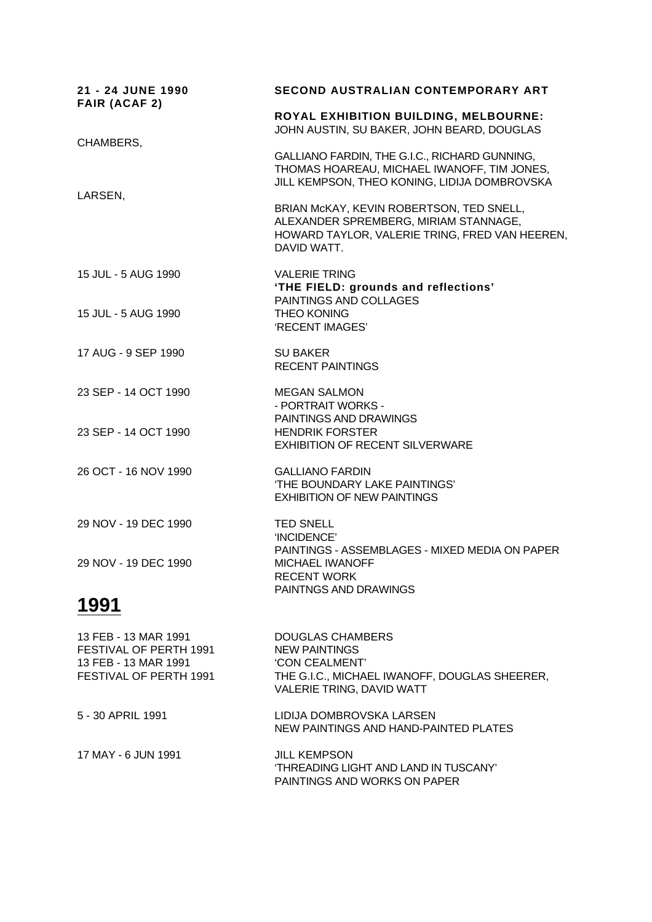| 21 - 24 JUNE 1990<br><b>FAIR (ACAF 2)</b>                                                        | <b>SECOND AUSTRALIAN CONTEMPORARY ART</b>                                                                                                          |
|--------------------------------------------------------------------------------------------------|----------------------------------------------------------------------------------------------------------------------------------------------------|
|                                                                                                  | <b>ROYAL EXHIBITION BUILDING, MELBOURNE:</b><br>JOHN AUSTIN, SU BAKER, JOHN BEARD, DOUGLAS                                                         |
| CHAMBERS,                                                                                        | GALLIANO FARDIN, THE G.I.C., RICHARD GUNNING,<br>THOMAS HOAREAU, MICHAEL IWANOFF, TIM JONES,<br>JILL KEMPSON, THEO KONING, LIDIJA DOMBROVSKA       |
| LARSEN,                                                                                          | BRIAN McKAY, KEVIN ROBERTSON, TED SNELL,<br>ALEXANDER SPREMBERG, MIRIAM STANNAGE,<br>HOWARD TAYLOR, VALERIE TRING, FRED VAN HEEREN,<br>DAVID WATT. |
| 15 JUL - 5 AUG 1990                                                                              | <b>VALERIE TRING</b><br>'THE FIELD: grounds and reflections'<br>PAINTINGS AND COLLAGES                                                             |
| 15 JUL - 5 AUG 1990                                                                              | <b>THEO KONING</b><br>'RECENT IMAGES'                                                                                                              |
| 17 AUG - 9 SEP 1990                                                                              | <b>SU BAKER</b><br><b>RECENT PAINTINGS</b>                                                                                                         |
| 23 SEP - 14 OCT 1990                                                                             | <b>MEGAN SALMON</b><br>- PORTRAIT WORKS -<br>PAINTINGS AND DRAWINGS                                                                                |
| 23 SEP - 14 OCT 1990                                                                             | <b>HENDRIK FORSTER</b><br><b>EXHIBITION OF RECENT SILVERWARE</b>                                                                                   |
| 26 OCT - 16 NOV 1990                                                                             | <b>GALLIANO FARDIN</b><br>'THE BOUNDARY LAKE PAINTINGS'<br><b>EXHIBITION OF NEW PAINTINGS</b>                                                      |
| 29 NOV - 19 DEC 1990                                                                             | <b>TED SNELL</b><br>'INCIDENCE'<br>PAINTINGS - ASSEMBLAGES - MIXED MEDIA ON PAPER                                                                  |
| 29 NOV - 19 DEC 1990                                                                             | <b>MICHAEL IWANOFF</b><br><b>RECENT WORK</b><br>PAINTNGS AND DRAWINGS                                                                              |
| 1991                                                                                             |                                                                                                                                                    |
| 13 FEB - 13 MAR 1991<br>FESTIVAL OF PERTH 1991<br>13 FEB - 13 MAR 1991<br>FESTIVAL OF PERTH 1991 | <b>DOUGLAS CHAMBERS</b><br><b>NEW PAINTINGS</b><br>'CON CEALMENT'<br>THE G.I.C., MICHAEL IWANOFF, DOUGLAS SHEERER,                                 |

VALERIE TRING, DAVID WATT 5 - 30 APRIL 1991 LIDIJA DOMBROVSKA LARSEN NEW PAINTINGS AND HAND-PAINTED PLATES

17 MAY - 6 JUN 1991 JILL KEMPSON 'THREADING LIGHT AND LAND IN TUSCANY' PAINTINGS AND WORKS ON PAPER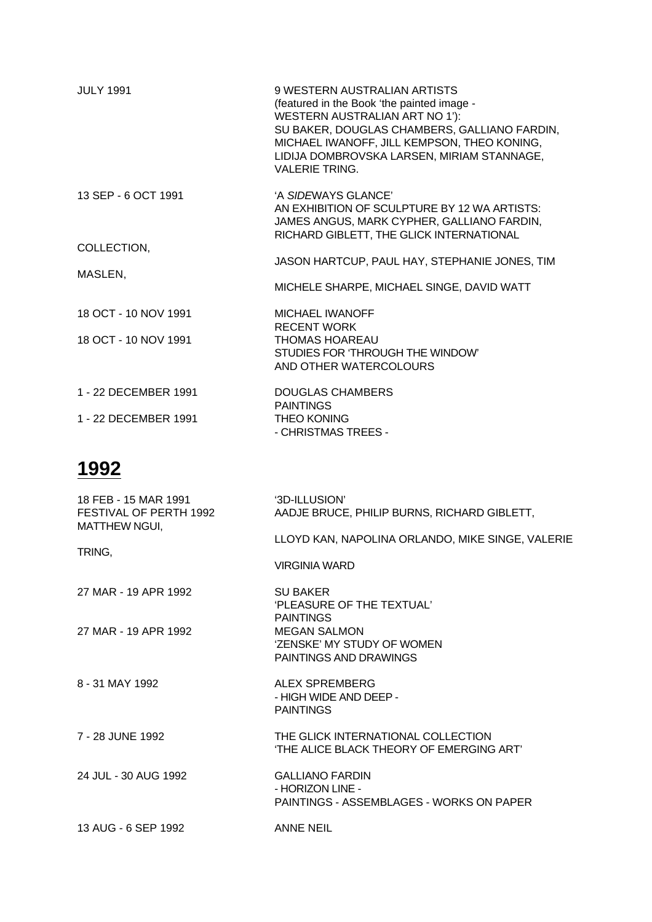| <b>JULY 1991</b>     | 9 WESTERN AUSTRALIAN ARTISTS<br>(featured in the Book 'the painted image -<br>WESTERN AUSTRALIAN ART NO 1'):<br>SU BAKER, DOUGLAS CHAMBERS, GALLIANO FARDIN,<br>MICHAEL IWANOFF, JILL KEMPSON, THEO KONING,<br>LIDIJA DOMBROVSKA LARSEN, MIRIAM STANNAGE,<br><b>VALERIE TRING.</b> |
|----------------------|------------------------------------------------------------------------------------------------------------------------------------------------------------------------------------------------------------------------------------------------------------------------------------|
| 13 SEP - 6 OCT 1991  | 'A SIDEWAYS GLANCE'<br>AN EXHIBITION OF SCULPTURE BY 12 WA ARTISTS:<br>JAMES ANGUS, MARK CYPHER, GALLIANO FARDIN,<br>RICHARD GIBLETT, THE GLICK INTERNATIONAL                                                                                                                      |
| COLLECTION,          | JASON HARTCUP, PAUL HAY, STEPHANIE JONES, TIM                                                                                                                                                                                                                                      |
| MASLEN,              | MICHELE SHARPE, MICHAEL SINGE, DAVID WATT                                                                                                                                                                                                                                          |
| 18 OCT - 10 NOV 1991 | MICHAEL IWANOFF<br><b>RECENT WORK</b>                                                                                                                                                                                                                                              |
| 18 OCT - 10 NOV 1991 | <b>THOMAS HOAREAU</b><br>STUDIES FOR 'THROUGH THE WINDOW'<br>AND OTHER WATERCOLOURS                                                                                                                                                                                                |
| 1 - 22 DECEMBER 1991 | DOUGLAS CHAMBERS<br><b>PAINTINGS</b>                                                                                                                                                                                                                                               |
| 1 - 22 DECEMBER 1991 | <b>THEO KONING</b><br>- CHRISTMAS TREES -                                                                                                                                                                                                                                          |

| 18 FEB - 15 MAR 1991<br>FESTIVAL OF PERTH 1992<br><b>MATTHEW NGUI,</b> | '3D-ILLUSION'<br>AADJE BRUCE, PHILIP BURNS, RICHARD GIBLETT,                                  |
|------------------------------------------------------------------------|-----------------------------------------------------------------------------------------------|
|                                                                        | LLOYD KAN, NAPOLINA ORLANDO, MIKE SINGE, VALERIE                                              |
| TRING,                                                                 | <b>VIRGINIA WARD</b>                                                                          |
| 27 MAR - 19 APR 1992                                                   | <b>SU BAKER</b><br><b>PLEASURE OF THE TEXTUAL'</b><br><b>PAINTINGS</b>                        |
| 27 MAR - 19 APR 1992                                                   | <b>MEGAN SALMON</b><br>'ZENSKE' MY STUDY OF WOMEN<br>PAINTINGS AND DRAWINGS                   |
| 8 - 31 MAY 1992                                                        | ALEX SPREMBERG<br>- HIGH WIDE AND DEEP -<br><b>PAINTINGS</b>                                  |
| 7 - 28 JUNE 1992                                                       | THE GLICK INTERNATIONAL COLLECTION<br>'THE ALICE BLACK THEORY OF EMERGING ART'                |
| 24 JUL - 30 AUG 1992                                                   | <b>GALLIANO FARDIN</b><br>- HORIZON LINE -<br><b>PAINTINGS - ASSEMBLAGES - WORKS ON PAPER</b> |
| 13 AUG - 6 SEP 1992                                                    | <b>ANNE NEIL</b>                                                                              |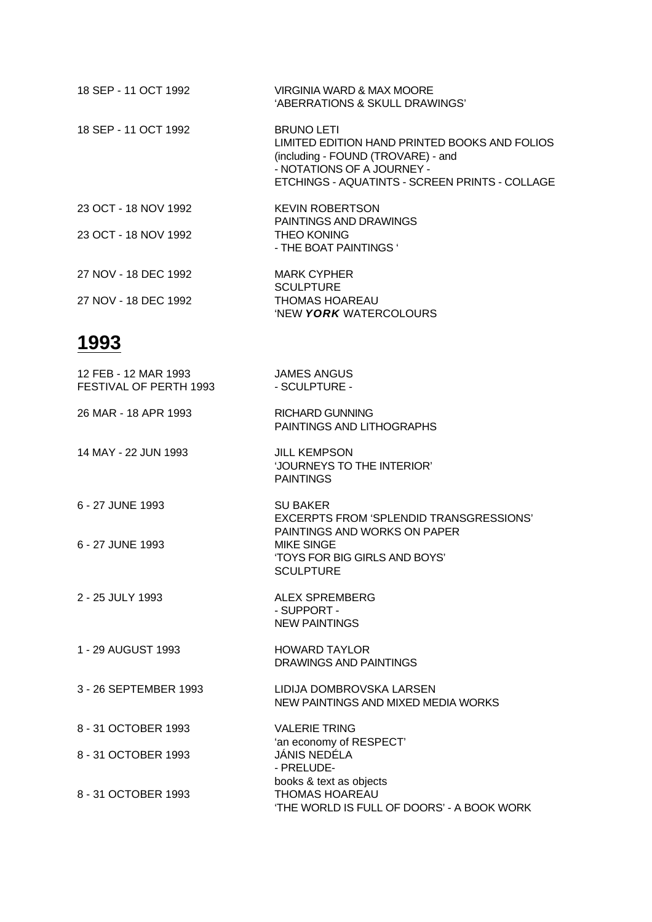| 18 SEP - 11 OCT 1992 | VIRGINIA WARD & MAX MOORE<br>'ABERRATIONS & SKULL DRAWINGS'                                                                                                                              |
|----------------------|------------------------------------------------------------------------------------------------------------------------------------------------------------------------------------------|
| 18 SEP - 11 OCT 1992 | <b>BRUNO LETI</b><br>LIMITED EDITION HAND PRINTED BOOKS AND FOLIOS<br>(including - FOUND (TROVARE) - and<br>- NOTATIONS OF A JOURNEY -<br>ETCHINGS - AQUATINTS - SCREEN PRINTS - COLLAGE |
| 23 OCT - 18 NOV 1992 | <b>KEVIN ROBERTSON</b><br>PAINTINGS AND DRAWINGS                                                                                                                                         |
| 23 OCT - 18 NOV 1992 | <b>THEO KONING</b><br>- THE BOAT PAINTINGS '                                                                                                                                             |
| 27 NOV - 18 DEC 1992 | <b>MARK CYPHER</b><br><b>SCULPTURE</b>                                                                                                                                                   |
| 27 NOV - 18 DEC 1992 | <b>THOMAS HOAREAU</b><br>'NEW YORK WATERCOLOURS                                                                                                                                          |

| 12 FEB - 12 MAR 1993<br>FESTIVAL OF PERTH 1993 | <b>JAMES ANGUS</b><br>- SCULPTURE -                                                            |
|------------------------------------------------|------------------------------------------------------------------------------------------------|
| 26 MAR - 18 APR 1993                           | <b>RICHARD GUNNING</b><br>PAINTINGS AND LITHOGRAPHS                                            |
| 14 MAY - 22 JUN 1993                           | <b>JILL KEMPSON</b><br>'JOURNEYS TO THE INTERIOR'<br><b>PAINTINGS</b>                          |
| 6 - 27 JUNE 1993                               | <b>SU BAKER</b><br>EXCERPTS FROM 'SPLENDID TRANSGRESSIONS'<br>PAINTINGS AND WORKS ON PAPER     |
| 6 - 27 JUNE 1993                               | <b>MIKE SINGE</b><br>'TOYS FOR BIG GIRLS AND BOYS'<br><b>SCULPTURE</b>                         |
| 2 - 25 JULY 1993                               | <b>ALEX SPREMBERG</b><br>- SUPPORT -<br><b>NEW PAINTINGS</b>                                   |
| 1 - 29 AUGUST 1993                             | <b>HOWARD TAYLOR</b><br><b>DRAWINGS AND PAINTINGS</b>                                          |
| 3 - 26 SEPTEMBER 1993                          | LIDIJA DOMBROVSKA LARSEN<br>NEW PAINTINGS AND MIXED MEDIA WORKS                                |
| 8 - 31 OCTOBER 1993                            | <b>VALERIE TRING</b>                                                                           |
| 8 - 31 OCTOBER 1993                            | 'an economy of RESPECT'<br>JÁNIS NEDÉLA<br>- PRELUDE-                                          |
| 8 - 31 OCTOBER 1993                            | books & text as objects<br><b>THOMAS HOAREAU</b><br>'THE WORLD IS FULL OF DOORS' - A BOOK WORK |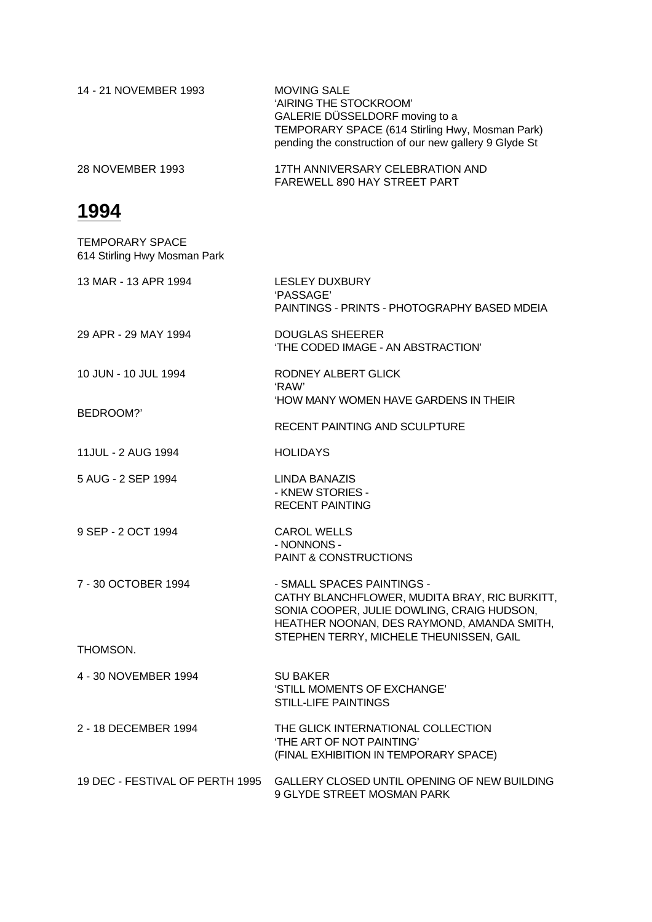| 14 - 21 NOVEMBER 1993 | <b>MOVING SALE</b><br>'AIRING THE STOCKROOM'<br>GALERIE DÜSSELDORF moving to a<br>TEMPORARY SPACE (614 Stirling Hwy, Mosman Park)<br>pending the construction of our new gallery 9 Glyde St |
|-----------------------|---------------------------------------------------------------------------------------------------------------------------------------------------------------------------------------------|
| 28 NOVEMBER 1993      | 17TH ANNIVERSARY CELEBRATION AND<br>FAREWELL 890 HAY STREET PART                                                                                                                            |

| <b>TEMPORARY SPACE</b><br>614 Stirling Hwy Mosman Park |                                                                                                                                                                         |
|--------------------------------------------------------|-------------------------------------------------------------------------------------------------------------------------------------------------------------------------|
| 13 MAR - 13 APR 1994                                   | <b>LESLEY DUXBURY</b><br>'PASSAGE'<br>PAINTINGS - PRINTS - PHOTOGRAPHY BASED MDEIA                                                                                      |
| 29 APR - 29 MAY 1994                                   | <b>DOUGLAS SHEERER</b><br>'THE CODED IMAGE - AN ABSTRACTION'                                                                                                            |
| 10 JUN - 10 JUL 1994                                   | RODNEY ALBERT GLICK<br>'RAW'<br><b>HOW MANY WOMEN HAVE GARDENS IN THEIR</b>                                                                                             |
| BEDROOM?'                                              | RECENT PAINTING AND SCULPTURE                                                                                                                                           |
| 11JUL - 2 AUG 1994                                     | <b>HOLIDAYS</b>                                                                                                                                                         |
| 5 AUG - 2 SEP 1994                                     | LINDA BANAZIS<br>- KNEW STORIES -<br><b>RECENT PAINTING</b>                                                                                                             |
| 9 SEP - 2 OCT 1994                                     | <b>CAROL WELLS</b><br>- NONNONS -<br>PAINT & CONSTRUCTIONS                                                                                                              |
| 7 - 30 OCTOBER 1994                                    | - SMALL SPACES PAINTINGS -<br>CATHY BLANCHFLOWER, MUDITA BRAY, RIC BURKITT,<br>SONIA COOPER, JULIE DOWLING, CRAIG HUDSON,<br>HEATHER NOONAN, DES RAYMOND, AMANDA SMITH, |
| THOMSON.                                               | STEPHEN TERRY, MICHELE THEUNISSEN, GAIL                                                                                                                                 |
| 4 - 30 NOVEMBER 1994                                   | <b>SU BAKER</b><br>'STILL MOMENTS OF EXCHANGE'<br><b>STILL-LIFE PAINTINGS</b>                                                                                           |
| 2 - 18 DECEMBER 1994                                   | THE GLICK INTERNATIONAL COLLECTION<br>'THE ART OF NOT PAINTING'<br>(FINAL EXHIBITION IN TEMPORARY SPACE)                                                                |
| 19 DEC - FESTIVAL OF PERTH 1995                        | GALLERY CLOSED UNTIL OPENING OF NEW BUILDING<br>9 GLYDE STREET MOSMAN PARK                                                                                              |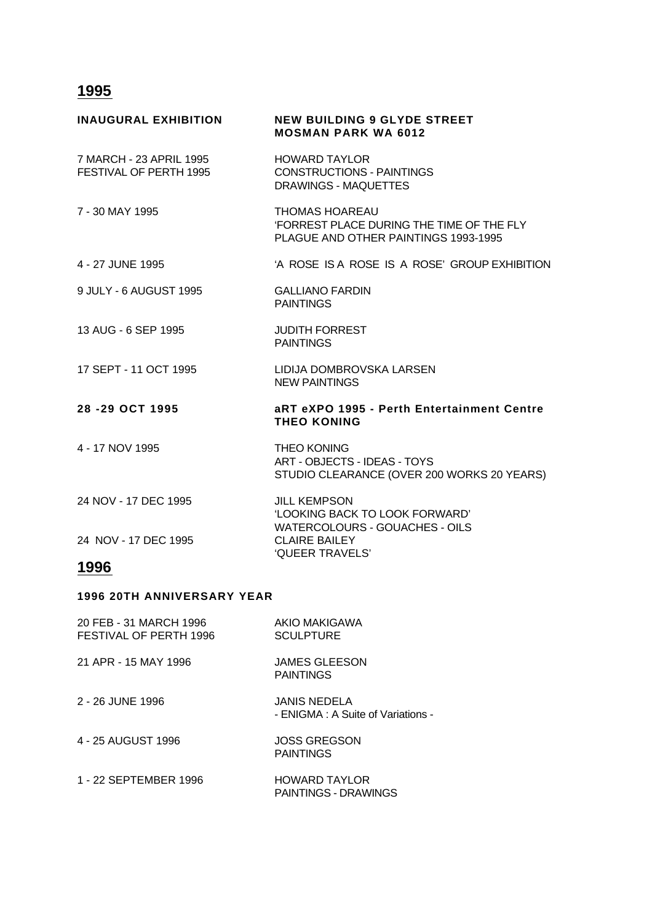| <b>INAUGURAL EXHIBITION</b>                       | <b>NEW BUILDING 9 GLYDE STREET</b><br><b>MOSMAN PARK WA 6012</b>                                                  |
|---------------------------------------------------|-------------------------------------------------------------------------------------------------------------------|
| 7 MARCH - 23 APRIL 1995<br>FESTIVAL OF PERTH 1995 | <b>HOWARD TAYLOR</b><br><b>CONSTRUCTIONS - PAINTINGS</b><br><b>DRAWINGS - MAQUETTES</b>                           |
| 7 - 30 MAY 1995                                   | <b>THOMAS HOAREAU</b><br><b>'FORREST PLACE DURING THE TIME OF THE FLY</b><br>PLAGUE AND OTHER PAINTINGS 1993-1995 |
| 4 - 27 JUNE 1995                                  | 'A ROSE IS A ROSE IS A ROSE' GROUP EXHIBITION                                                                     |
| 9 JULY - 6 AUGUST 1995                            | <b>GALLIANO FARDIN</b><br><b>PAINTINGS</b>                                                                        |
| 13 AUG - 6 SEP 1995                               | <b>JUDITH FORREST</b><br><b>PAINTINGS</b>                                                                         |
| 17 SEPT - 11 OCT 1995                             | LIDIJA DOMBROVSKA LARSEN<br><b>NEW PAINTINGS</b>                                                                  |
| 28-29 OCT 1995                                    | aRT eXPO 1995 - Perth Entertainment Centre<br><b>THEO KONING</b>                                                  |
| 4 - 17 NOV 1995                                   | <b>THEO KONING</b><br>ART - OBJECTS - IDEAS - TOYS<br>STUDIO CLEARANCE (OVER 200 WORKS 20 YEARS)                  |
| 24 NOV - 17 DEC 1995                              | <b>JILL KEMPSON</b><br>'LOOKING BACK TO LOOK FORWARD'<br><b>WATERCOLOURS - GOUACHES - OILS</b>                    |
| 24 NOV - 17 DEC 1995                              | <b>CLAIRE BAILEY</b><br>'QUEER TRAVELS'                                                                           |
| 1996                                              |                                                                                                                   |

#### **1996 20TH ANNIVERSARY YEAR**

| 20 FEB - 31 MARCH 1996<br>FESTIVAL OF PERTH 1996 | AKIO MAKIGAWA<br><b>SCULPTURE</b>                         |
|--------------------------------------------------|-----------------------------------------------------------|
| 21 APR - 15 MAY 1996                             | <b>JAMES GLEESON</b><br><b>PAINTINGS</b>                  |
| 2 - 26 JUNE 1996                                 | <b>JANIS NEDELA</b><br>- ENIGMA : A Suite of Variations - |
| 4 - 25 AUGUST 1996                               | <b>JOSS GREGSON</b><br><b>PAINTINGS</b>                   |
| 1 - 22 SEPTEMBER 1996                            | <b>HOWARD TAYLOR</b><br>PAINTINGS - DRAWINGS              |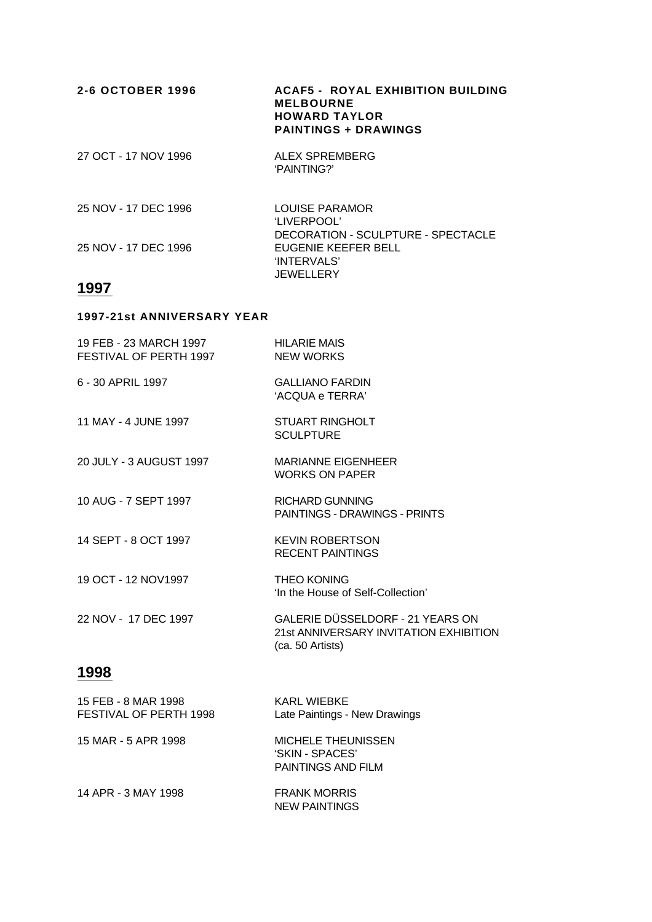| 2-6 OCTOBER 1996     | <b>ACAF5 - ROYAL EXHIBITION BUILDING</b><br><b>MELBOURNE</b><br><b>HOWARD TAYLOR</b><br><b>PAINTINGS + DRAWINGS</b> |
|----------------------|---------------------------------------------------------------------------------------------------------------------|
| 27 OCT - 17 NOV 1996 | ALEX SPREMBERG<br>'PAINTING?'                                                                                       |
| 25 NOV - 17 DEC 1996 | LOUISE PARAMOR<br>'LIVERPOOL'                                                                                       |
| 25 NOV - 17 DEC 1996 | DECORATION - SCULPTURE - SPECTACLE<br>EUGENIE KEEFER BELL<br>'INTERVALS'                                            |

**JEWELLERY** 

# **1997**

#### **1997-21st ANNIVERSARY YEAR**

| 19 FEB - 23 MARCH 1997<br>FESTIVAL OF PERTH 1997 | <b>HILARIE MAIS</b><br><b>NEW WORKS</b>                                                        |
|--------------------------------------------------|------------------------------------------------------------------------------------------------|
| 6 - 30 APRIL 1997                                | <b>GALLIANO FARDIN</b><br>'ACQUA e TERRA'                                                      |
| 11 MAY - 4 JUNE 1997                             | STUART RINGHOLT<br><b>SCULPTURE</b>                                                            |
| 20 JULY - 3 AUGUST 1997                          | <b>MARIANNE EIGENHEER</b><br><b>WORKS ON PAPER</b>                                             |
| 10 AUG - 7 SEPT 1997                             | <b>RICHARD GUNNING</b><br><b>PAINTINGS - DRAWINGS - PRINTS</b>                                 |
| 14 SEPT - 8 OCT 1997                             | <b>KEVIN ROBERTSON</b><br><b>RECENT PAINTINGS</b>                                              |
| 19 OCT - 12 NOV1997                              | <b>THEO KONING</b><br>'In the House of Self-Collection'                                        |
| 22 NOV - 17 DEC 1997                             | GALERIE DÜSSELDORF - 21 YEARS ON<br>21st ANNIVERSARY INVITATION EXHIBITION<br>(ca. 50 Artists) |

| 15 FEB - 8 MAR 1998<br>FESTIVAL OF PERTH 1998 | KARL WIEBKE<br>Late Paintings - New Drawings                              |
|-----------------------------------------------|---------------------------------------------------------------------------|
| 15 MAR - 5 APR 1998                           | <b>MICHELE THEUNISSEN</b><br>'SKIN - SPACES'<br><b>PAINTINGS AND FILM</b> |
| 14 APR - 3 MAY 1998                           | <b>FRANK MORRIS</b><br><b>NEW PAINTINGS</b>                               |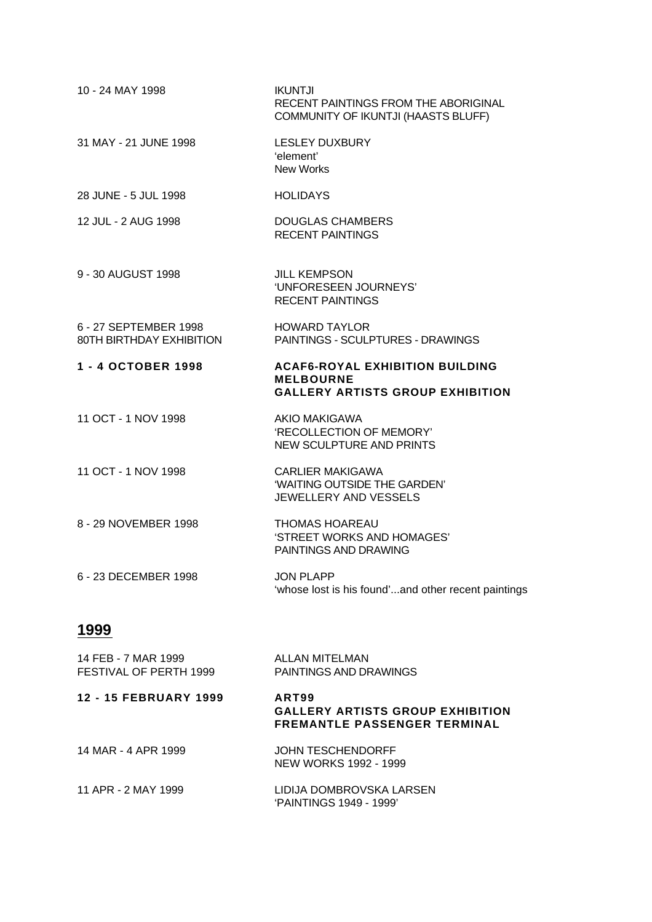| 10 - 24 MAY 1998                                  | <b>IKUNTJI</b><br>RECENT PAINTINGS FROM THE ABORIGINAL<br>COMMUNITY OF IKUNTJI (HAASTS BLUFF)         |
|---------------------------------------------------|-------------------------------------------------------------------------------------------------------|
| 31 MAY - 21 JUNE 1998                             | <b>LESLEY DUXBURY</b><br>'element'<br><b>New Works</b>                                                |
| 28 JUNE - 5 JUL 1998                              | <b>HOLIDAYS</b>                                                                                       |
| 12 JUL - 2 AUG 1998                               | DOUGLAS CHAMBERS<br><b>RECENT PAINTINGS</b>                                                           |
| 9 - 30 AUGUST 1998                                | <b>JILL KEMPSON</b><br>'UNFORESEEN JOURNEYS'<br><b>RECENT PAINTINGS</b>                               |
| 6 - 27 SEPTEMBER 1998<br>80TH BIRTHDAY EXHIBITION | <b>HOWARD TAYLOR</b><br>PAINTINGS - SCULPTURES - DRAWINGS                                             |
| 1 - 4 OCTOBER 1998                                | <b>ACAF6-ROYAL EXHIBITION BUILDING</b><br><b>MELBOURNE</b><br><b>GALLERY ARTISTS GROUP EXHIBITION</b> |
| 11 OCT - 1 NOV 1998                               | AKIO MAKIGAWA<br>'RECOLLECTION OF MEMORY'<br><b>NEW SCULPTURE AND PRINTS</b>                          |
| 11 OCT - 1 NOV 1998                               | <b>CARLIER MAKIGAWA</b><br>'WAITING OUTSIDE THE GARDEN'<br>JEWELLERY AND VESSELS                      |
| 8 - 29 NOVEMBER 1998                              | <b>THOMAS HOAREAU</b><br>'STREET WORKS AND HOMAGES'<br>PAINTINGS AND DRAWING                          |
| 6 - 23 DECEMBER 1998                              | <b>JON PLAPP</b><br>'whose lost is his found'and other recent paintings                               |
| 1999                                              |                                                                                                       |
| 14 FEB - 7 MAR 1999                               | <b>ALLAN MITELMAN</b>                                                                                 |

| FESTIVAL OF PERTH 1999 | PAINTINGS AND DRAWINGS                                                                  |
|------------------------|-----------------------------------------------------------------------------------------|
| 12 - 15 FEBRUARY 1999  | ART99<br><b>GALLERY ARTISTS GROUP EXHIBITION</b><br><b>FREMANTLE PASSENGER TERMINAL</b> |

| JOHN TESCHENDORFF     |
|-----------------------|
| NEW WORKS 1992 - 1999 |
|                       |

| 11 APR - 2 MAY 1999 | LIDIJA DOMBROVSKA LARSEN |
|---------------------|--------------------------|
|                     | 'PAINTINGS 1949 - 1999'  |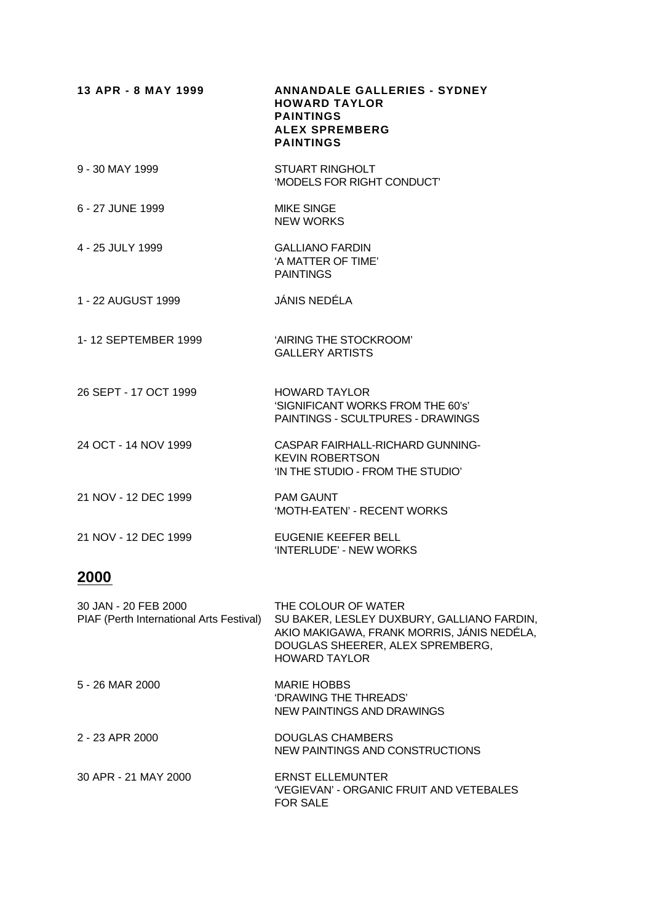| 13 APR - 8 MAY 1999   | <b>ANNANDALE GALLERIES - SYDNEY</b><br><b>HOWARD TAYLOR</b><br><b>PAINTINGS</b><br><b>ALEX SPREMBERG</b><br><b>PAINTINGS</b> |
|-----------------------|------------------------------------------------------------------------------------------------------------------------------|
| 9 - 30 MAY 1999       | <b>STUART RINGHOLT</b><br>'MODELS FOR RIGHT CONDUCT'                                                                         |
| 6 - 27 JUNE 1999      | <b>MIKE SINGE</b><br><b>NEW WORKS</b>                                                                                        |
| 4 - 25 JULY 1999      | <b>GALLIANO FARDIN</b><br>'A MATTER OF TIME'<br><b>PAINTINGS</b>                                                             |
| 1 - 22 AUGUST 1999    | JÁNIS NEDÉLA                                                                                                                 |
| 1-12 SEPTEMBER 1999   | 'AIRING THE STOCKROOM'<br><b>GALLERY ARTISTS</b>                                                                             |
| 26 SEPT - 17 OCT 1999 | <b>HOWARD TAYLOR</b><br>'SIGNIFICANT WORKS FROM THE 60's'<br>PAINTINGS - SCULTPURES - DRAWINGS                               |
| 24 OCT - 14 NOV 1999  | CASPAR FAIRHALL-RICHARD GUNNING-<br><b>KEVIN ROBERTSON</b><br>'IN THE STUDIO - FROM THE STUDIO'                              |
| 21 NOV - 12 DEC 1999  | <b>PAM GAUNT</b><br>'MOTH-EATEN' - RECENT WORKS                                                                              |
| 21 NOV - 12 DEC 1999  | EUGENIE KEEFER BELL<br>'INTERLUDE' - NEW WORKS                                                                               |
|                       |                                                                                                                              |

| 30 JAN - 20 FEB 2000<br>PIAF (Perth International Arts Festival) | THE COLOUR OF WATER<br>SU BAKER, LESLEY DUXBURY, GALLIANO FARDIN,<br>AKIO MAKIGAWA, FRANK MORRIS, JÁNIS NEDÉLA,<br>DOUGLAS SHEERER, ALEX SPREMBERG,<br><b>HOWARD TAYLOR</b> |
|------------------------------------------------------------------|-----------------------------------------------------------------------------------------------------------------------------------------------------------------------------|
| 5 - 26 MAR 2000                                                  | <b>MARIE HOBBS</b><br>'DRAWING THE THREADS'<br>NEW PAINTINGS AND DRAWINGS                                                                                                   |
| 2 - 23 APR 2000                                                  | DOUGLAS CHAMBERS<br>NEW PAINTINGS AND CONSTRUCTIONS                                                                                                                         |
| 30 APR - 21 MAY 2000                                             | <b>ERNST ELLEMUNTER</b><br>'VEGIEVAN' - ORGANIC FRUIT AND VETEBALES<br><b>FOR SALE</b>                                                                                      |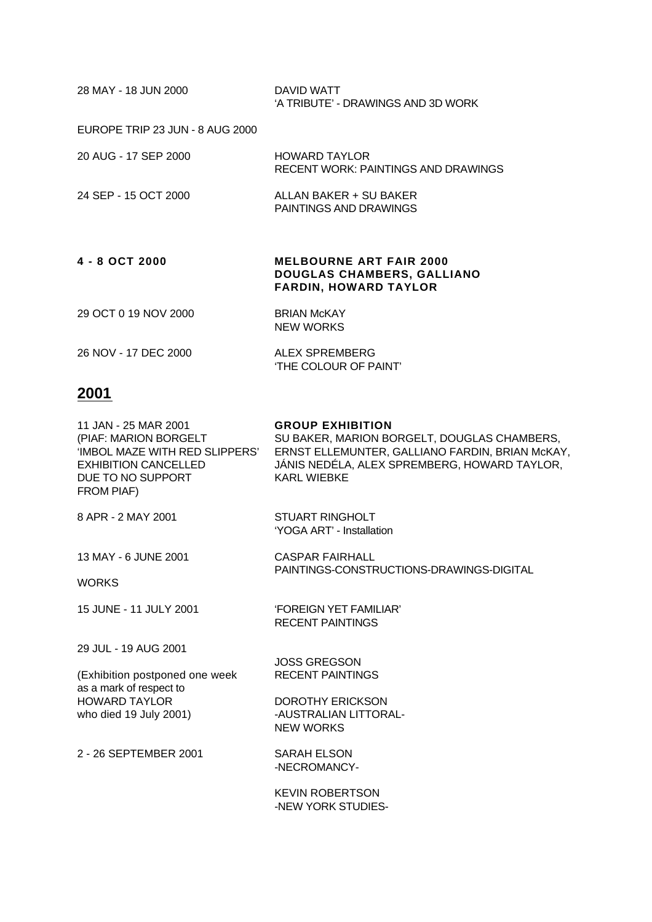| 28 MAY - 18 JUN 2000            | DAVID WATT<br>'A TRIBUTE' - DRAWINGS AND 3D WORK                                                    |
|---------------------------------|-----------------------------------------------------------------------------------------------------|
| EUROPE TRIP 23 JUN - 8 AUG 2000 |                                                                                                     |
| 20 AUG - 17 SEP 2000            | HOWARD TAYLOR<br>RECENT WORK: PAINTINGS AND DRAWINGS                                                |
| 24 SEP - 15 OCT 2000            | ALLAN BAKER + SU BAKER<br><b>PAINTINGS AND DRAWINGS</b>                                             |
| 4 - 8 OCT 2000                  | <b>MELBOURNE ART FAIR 2000</b><br><b>DOUGLAS CHAMBERS, GALLIANO</b><br><b>FARDIN, HOWARD TAYLOR</b> |
| 29 OCT 0 19 NOV 2000            | <b>BRIAN McKAY</b><br><b>NEW WORKS</b>                                                              |
| 26 NOV - 17 DEC 2000            | ALEX SPREMBERG<br>'THE COLOUR OF PAINT'                                                             |

| 11 JAN - 25 MAR 2001<br>(PIAF: MARION BORGELT<br>'IMBOL MAZE WITH RED SLIPPERS'<br><b>EXHIBITION CANCELLED</b><br>DUE TO NO SUPPORT<br>FROM PIAF) | <b>GROUP EXHIBITION</b><br>SU BAKER, MARION BORGELT, DOUGLAS CHAMBERS,<br>ERNST ELLEMUNTER, GALLIANO FARDIN, BRIAN McKAY,<br>JÁNIS NEDÉLA, ALEX SPREMBERG, HOWARD TAYLOR,<br><b>KARL WIEBKE</b> |
|---------------------------------------------------------------------------------------------------------------------------------------------------|-------------------------------------------------------------------------------------------------------------------------------------------------------------------------------------------------|
| 8 APR - 2 MAY 2001                                                                                                                                | <b>STUART RINGHOLT</b><br>'YOGA ART' - Installation                                                                                                                                             |
| 13 MAY - 6 JUNE 2001                                                                                                                              | CASPAR FAIRHALL<br>PAINTINGS-CONSTRUCTIONS-DRAWINGS-DIGITAL                                                                                                                                     |
| <b>WORKS</b>                                                                                                                                      |                                                                                                                                                                                                 |
| 15 JUNE - 11 JULY 2001                                                                                                                            | <b>FOREIGN YET FAMILIAR'</b><br><b>RECENT PAINTINGS</b>                                                                                                                                         |
| 29 JUL - 19 AUG 2001                                                                                                                              |                                                                                                                                                                                                 |
| (Exhibition postponed one week                                                                                                                    | <b>JOSS GREGSON</b><br><b>RECENT PAINTINGS</b>                                                                                                                                                  |
| as a mark of respect to                                                                                                                           |                                                                                                                                                                                                 |
| <b>HOWARD TAYLOR</b>                                                                                                                              | <b>DOROTHY ERICKSON</b><br>-AUSTRALIAN LITTORAL-                                                                                                                                                |
| who died 19 July 2001)                                                                                                                            | <b>NEW WORKS</b>                                                                                                                                                                                |
| 2 - 26 SEPTEMBER 2001                                                                                                                             | <b>SARAH ELSON</b><br>-NECROMANCY-                                                                                                                                                              |
|                                                                                                                                                   | <b>KEVIN ROBERTSON</b>                                                                                                                                                                          |

-NEW YORK STUDIES-